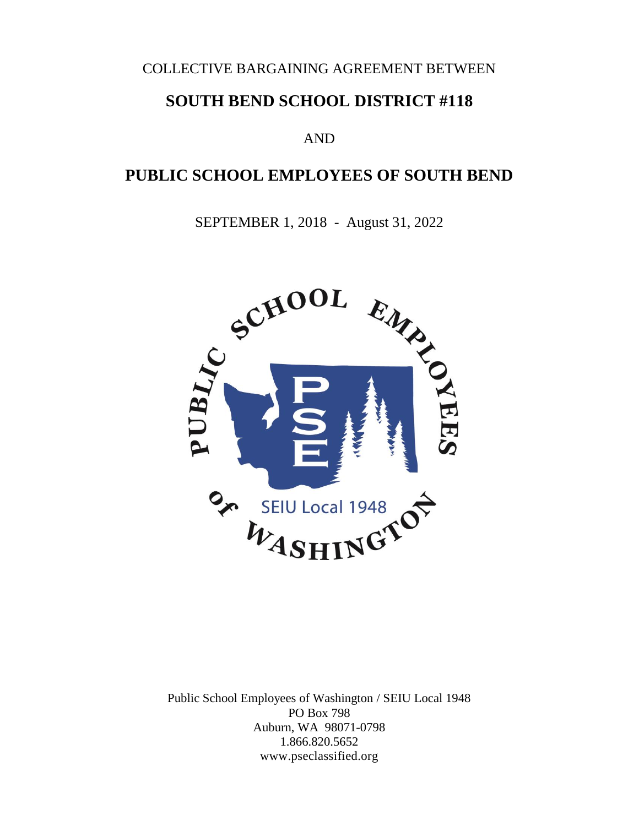#### COLLECTIVE BARGAINING AGREEMENT BETWEEN

# **SOUTH BEND SCHOOL DISTRICT #118**

#### AND

# **PUBLIC SCHOOL EMPLOYEES OF SOUTH BEND**

SEPTEMBER 1, 2018 - August 31, 2022



Public School Employees of Washington / SEIU Local 1948 PO Box 798 Auburn, WA 98071-0798 1.866.820.5652 www.pseclassified.org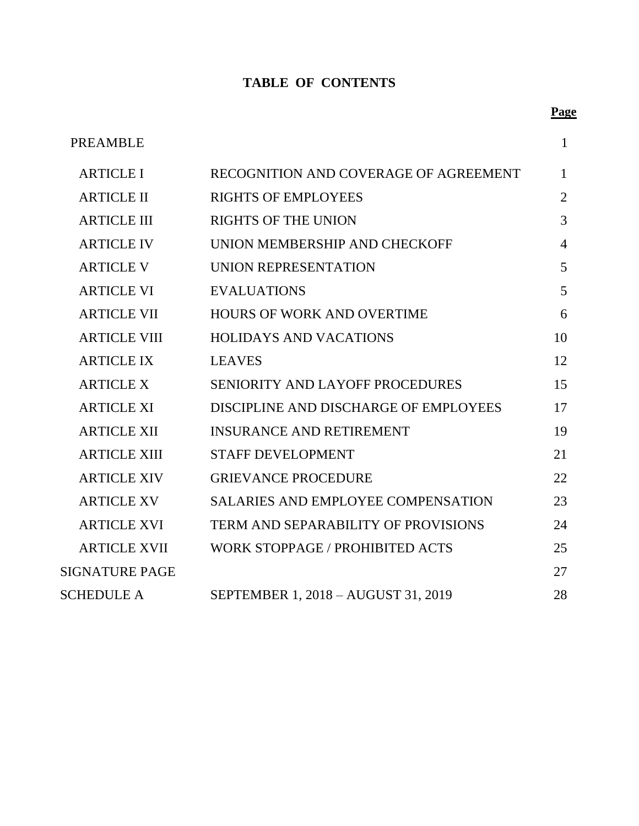# **TABLE OF CONTENTS**

|                     |                                       | <u>і аз</u>    |
|---------------------|---------------------------------------|----------------|
| PREAMBLE            |                                       |                |
| <b>ARTICLE I</b>    | RECOGNITION AND COVERAGE OF AGREEMENT | 1              |
| <b>ARTICLE II</b>   | <b>RIGHTS OF EMPLOYEES</b>            | $\overline{2}$ |
| <b>ARTICLE III</b>  | <b>RIGHTS OF THE UNION</b>            | 3              |
| <b>ARTICLE IV</b>   | UNION MEMBERSHIP AND CHECKOFF         | $\overline{4}$ |
| <b>ARTICLE V</b>    | UNION REPRESENTATION                  | 5              |
| <b>ARTICLE VI</b>   | <b>EVALUATIONS</b>                    | 5              |
| <b>ARTICLE VII</b>  | <b>HOURS OF WORK AND OVERTIME</b>     | 6              |
| <b>ARTICLE VIII</b> | <b>HOLIDAYS AND VACATIONS</b>         | 10             |
| <b>ARTICLE IX</b>   | <b>LEAVES</b>                         | 12             |

ARTICLE X SENIORITY AND LAYOFF PROCEDURES 15

ARTICLE XI DISCIPLINE AND DISCHARGE OF EMPLOYEES 17

ARTICLE XII INSURANCE AND RETIREMENT 19

ARTICLE XIII STAFF DEVELOPMENT 21

ARTICLE XIV GRIEVANCE PROCEDURE 22

ARTICLE XV SALARIES AND EMPLOYEE COMPENSATION 23

ARTICLE XVI TERM AND SEPARABILITY OF PROVISIONS 24

ARTICLE XVII WORK STOPPAGE / PROHIBITED ACTS 25

SIGNATURE PAGE 27

SCHEDULE A SEPTEMBER 1, 2018 – AUGUST 31, 2019 28

#### **Page**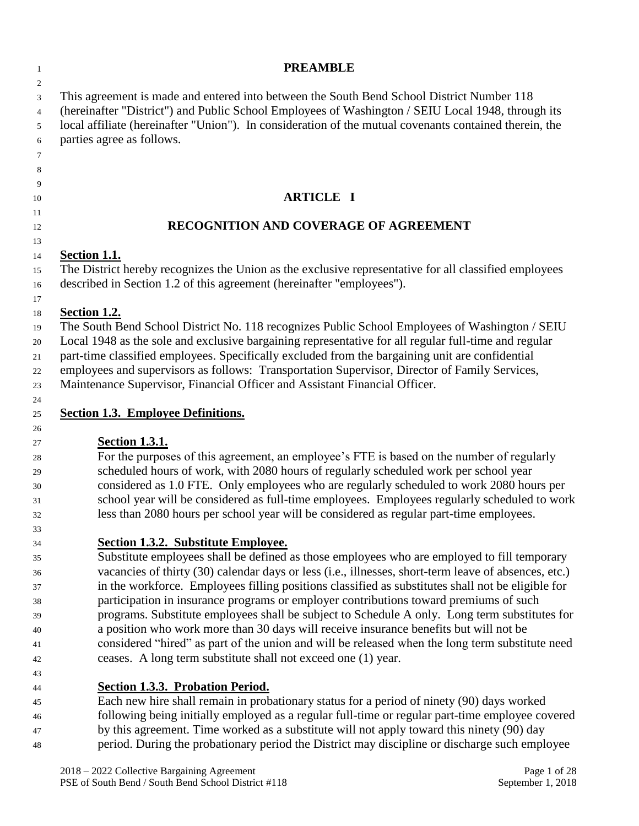| -1                                                       | <b>PREAMBLE</b>                                                                                                                                                                                                                                                                                                                                                                                                                                                                                                                                                                                                                                                                                                                                                                                               |
|----------------------------------------------------------|---------------------------------------------------------------------------------------------------------------------------------------------------------------------------------------------------------------------------------------------------------------------------------------------------------------------------------------------------------------------------------------------------------------------------------------------------------------------------------------------------------------------------------------------------------------------------------------------------------------------------------------------------------------------------------------------------------------------------------------------------------------------------------------------------------------|
| 2<br>3<br>4<br>5<br>6<br>$\tau$<br>8                     | This agreement is made and entered into between the South Bend School District Number 118<br>(hereinafter "District") and Public School Employees of Washington / SEIU Local 1948, through its<br>local affiliate (hereinafter "Union"). In consideration of the mutual covenants contained therein, the<br>parties agree as follows.                                                                                                                                                                                                                                                                                                                                                                                                                                                                         |
| 9<br>10                                                  | <b>ARTICLE I</b>                                                                                                                                                                                                                                                                                                                                                                                                                                                                                                                                                                                                                                                                                                                                                                                              |
| 11                                                       | RECOGNITION AND COVERAGE OF AGREEMENT                                                                                                                                                                                                                                                                                                                                                                                                                                                                                                                                                                                                                                                                                                                                                                         |
| 12<br>13                                                 |                                                                                                                                                                                                                                                                                                                                                                                                                                                                                                                                                                                                                                                                                                                                                                                                               |
| 14<br>15<br>16<br>17                                     | <b><u>Section 1.1.</u></b><br>The District hereby recognizes the Union as the exclusive representative for all classified employees<br>described in Section 1.2 of this agreement (hereinafter "employees").                                                                                                                                                                                                                                                                                                                                                                                                                                                                                                                                                                                                  |
| 18<br>19<br>20<br>21<br>22<br>23                         | <b>Section 1.2.</b><br>The South Bend School District No. 118 recognizes Public School Employees of Washington / SEIU<br>Local 1948 as the sole and exclusive bargaining representative for all regular full-time and regular<br>part-time classified employees. Specifically excluded from the bargaining unit are confidential<br>employees and supervisors as follows: Transportation Supervisor, Director of Family Services,<br>Maintenance Supervisor, Financial Officer and Assistant Financial Officer.                                                                                                                                                                                                                                                                                               |
| 24<br>25                                                 | <b>Section 1.3. Employee Definitions.</b>                                                                                                                                                                                                                                                                                                                                                                                                                                                                                                                                                                                                                                                                                                                                                                     |
| 26<br>27<br>28<br>29<br>30<br>31<br>32<br>33             | <b>Section 1.3.1.</b><br>For the purposes of this agreement, an employee's FTE is based on the number of regularly<br>scheduled hours of work, with 2080 hours of regularly scheduled work per school year<br>considered as 1.0 FTE. Only employees who are regularly scheduled to work 2080 hours per<br>school year will be considered as full-time employees. Employees regularly scheduled to work<br>less than 2080 hours per school year will be considered as regular part-time employees.                                                                                                                                                                                                                                                                                                             |
| 34<br>35<br>36<br>37<br>38<br>39<br>40<br>41<br>42<br>43 | <b>Section 1.3.2. Substitute Employee.</b><br>Substitute employees shall be defined as those employees who are employed to fill temporary<br>vacancies of thirty (30) calendar days or less (i.e., illnesses, short-term leave of absences, etc.)<br>in the workforce. Employees filling positions classified as substitutes shall not be eligible for<br>participation in insurance programs or employer contributions toward premiums of such<br>programs. Substitute employees shall be subject to Schedule A only. Long term substitutes for<br>a position who work more than 30 days will receive insurance benefits but will not be<br>considered "hired" as part of the union and will be released when the long term substitute need<br>ceases. A long term substitute shall not exceed one (1) year. |
| 44<br>45<br>46<br>47<br>48                               | <b>Section 1.3.3. Probation Period.</b><br>Each new hire shall remain in probationary status for a period of ninety (90) days worked<br>following being initially employed as a regular full-time or regular part-time employee covered<br>by this agreement. Time worked as a substitute will not apply toward this ninety (90) day<br>period. During the probationary period the District may discipline or discharge such employee                                                                                                                                                                                                                                                                                                                                                                         |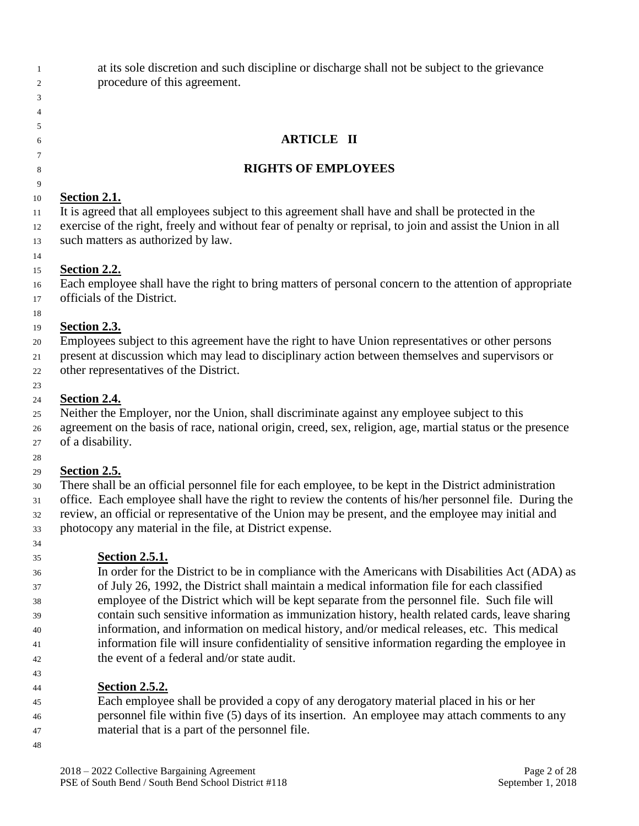at its sole discretion and such discipline or discharge shall not be subject to the grievance procedure of this agreement.

#### **ARTICLE II**

#### **RIGHTS OF EMPLOYEES**

#### **Section 2.1.**

 It is agreed that all employees subject to this agreement shall have and shall be protected in the exercise of the right, freely and without fear of penalty or reprisal, to join and assist the Union in all such matters as authorized by law.

#### **Section 2.2.**

 Each employee shall have the right to bring matters of personal concern to the attention of appropriate officials of the District.

 

#### **Section 2.3.**

Employees subject to this agreement have the right to have Union representatives or other persons

 present at discussion which may lead to disciplinary action between themselves and supervisors or other representatives of the District.

#### **Section 2.4.**

 Neither the Employer, nor the Union, shall discriminate against any employee subject to this agreement on the basis of race, national origin, creed, sex, religion, age, martial status or the presence of a disability.

#### **Section 2.5.**

 There shall be an official personnel file for each employee, to be kept in the District administration office. Each employee shall have the right to review the contents of his/her personnel file. During the review, an official or representative of the Union may be present, and the employee may initial and photocopy any material in the file, at District expense.

# **Section 2.5.1.**

 In order for the District to be in compliance with the Americans with Disabilities Act (ADA) as of July 26, 1992, the District shall maintain a medical information file for each classified employee of the District which will be kept separate from the personnel file. Such file will contain such sensitive information as immunization history, health related cards, leave sharing information, and information on medical history, and/or medical releases, etc. This medical information file will insure confidentiality of sensitive information regarding the employee in the event of a federal and/or state audit.

**Section 2.5.2.**

 Each employee shall be provided a copy of any derogatory material placed in his or her personnel file within five (5) days of its insertion. An employee may attach comments to any material that is a part of the personnel file.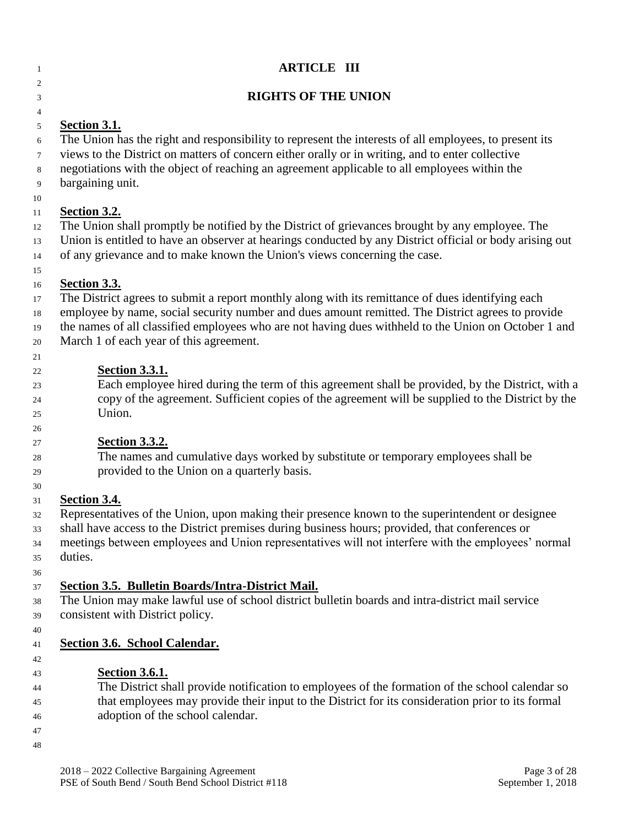| $\mathbf{1}$                                 | <b>ARTICLE III</b>                                                                                                                                                                                                                                                                                                                                                        |  |
|----------------------------------------------|---------------------------------------------------------------------------------------------------------------------------------------------------------------------------------------------------------------------------------------------------------------------------------------------------------------------------------------------------------------------------|--|
| 2<br>3                                       | <b>RIGHTS OF THE UNION</b>                                                                                                                                                                                                                                                                                                                                                |  |
| $\overline{4}$<br>5<br>6<br>7<br>8<br>9      | <b><u>Section 3.1.</u></b><br>The Union has the right and responsibility to represent the interests of all employees, to present its<br>views to the District on matters of concern either orally or in writing, and to enter collective<br>negotiations with the object of reaching an agreement applicable to all employees within the<br>bargaining unit.              |  |
| 10<br>11<br>12<br>13<br>14<br>15             | <b>Section 3.2.</b><br>The Union shall promptly be notified by the District of grievances brought by any employee. The<br>Union is entitled to have an observer at hearings conducted by any District official or body arising out<br>of any grievance and to make known the Union's views concerning the case.                                                           |  |
| 16<br>17<br>18<br>19<br>20                   | Section 3.3.<br>The District agrees to submit a report monthly along with its remittance of dues identifying each<br>employee by name, social security number and dues amount remitted. The District agrees to provide<br>the names of all classified employees who are not having dues withheld to the Union on October 1 and<br>March 1 of each year of this agreement. |  |
| 21<br>22<br>23<br>24<br>25<br>26             | <b>Section 3.3.1.</b><br>Each employee hired during the term of this agreement shall be provided, by the District, with a<br>copy of the agreement. Sufficient copies of the agreement will be supplied to the District by the<br>Union.                                                                                                                                  |  |
| 27<br>28<br>29<br>30                         | <b>Section 3.3.2.</b><br>The names and cumulative days worked by substitute or temporary employees shall be<br>provided to the Union on a quarterly basis.                                                                                                                                                                                                                |  |
| 31<br>32<br>33<br>34<br>35                   | <b>Section 3.4.</b><br>Representatives of the Union, upon making their presence known to the superintendent or designee<br>shall have access to the District premises during business hours; provided, that conferences or<br>meetings between employees and Union representatives will not interfere with the employees' normal<br>duties.                               |  |
| 36<br>37<br>38<br>39                         | <b>Section 3.5. Bulletin Boards/Intra-District Mail.</b><br>The Union may make lawful use of school district bulletin boards and intra-district mail service<br>consistent with District policy.                                                                                                                                                                          |  |
| 40<br>41<br>42<br>43<br>44<br>45<br>46<br>47 | Section 3.6. School Calendar.<br><b>Section 3.6.1.</b><br>The District shall provide notification to employees of the formation of the school calendar so<br>that employees may provide their input to the District for its consideration prior to its formal<br>adoption of the school calendar.                                                                         |  |
| 48                                           | 2018 - 2022 Collective Bargaining Agreement<br>Page 3 of 28<br>PSE of South Bend / South Bend School District #118<br>September 1, 2018                                                                                                                                                                                                                                   |  |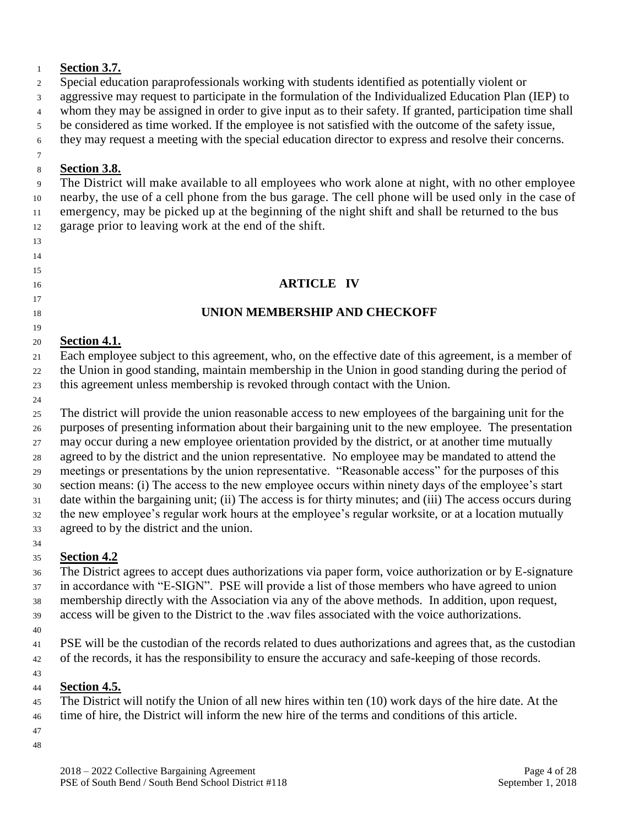#### **Section 3.7.**

Special education paraprofessionals working with students identified as potentially violent or

aggressive may request to participate in the formulation of the Individualized Education Plan (IEP) to

whom they may be assigned in order to give input as to their safety. If granted, participation time shall

be considered as time worked. If the employee is not satisfied with the outcome of the safety issue,

they may request a meeting with the special education director to express and resolve their concerns.

#### **Section 3.8.**

 

 The District will make available to all employees who work alone at night, with no other employee nearby, the use of a cell phone from the bus garage. The cell phone will be used only in the case of emergency, may be picked up at the beginning of the night shift and shall be returned to the bus garage prior to leaving work at the end of the shift.

# **ARTICLE IV**

# **UNION MEMBERSHIP AND CHECKOFF**

#### **Section 4.1.**

 Each employee subject to this agreement, who, on the effective date of this agreement, is a member of the Union in good standing, maintain membership in the Union in good standing during the period of this agreement unless membership is revoked through contact with the Union.

 The district will provide the union reasonable access to new employees of the bargaining unit for the purposes of presenting information about their bargaining unit to the new employee. The presentation may occur during a new employee orientation provided by the district, or at another time mutually agreed to by the district and the union representative. No employee may be mandated to attend the meetings or presentations by the union representative. "Reasonable access" for the purposes of this section means: (i) The access to the new employee occurs within ninety days of the employee's start date within the bargaining unit; (ii) The access is for thirty minutes; and (iii) The access occurs during the new employee's regular work hours at the employee's regular worksite, or at a location mutually agreed to by the district and the union. 

# **Section 4.2**

 The District agrees to accept dues authorizations via paper form, voice authorization or by E-signature in accordance with "E-SIGN". PSE will provide a list of those members who have agreed to union membership directly with the Association via any of the above methods. In addition, upon request, access will be given to the District to the .wav files associated with the voice authorizations.

 PSE will be the custodian of the records related to dues authorizations and agrees that, as the custodian of the records, it has the responsibility to ensure the accuracy and safe-keeping of those records.

# **Section 4.5.**

 The District will notify the Union of all new hires within ten (10) work days of the hire date. At the time of hire, the District will inform the new hire of the terms and conditions of this article.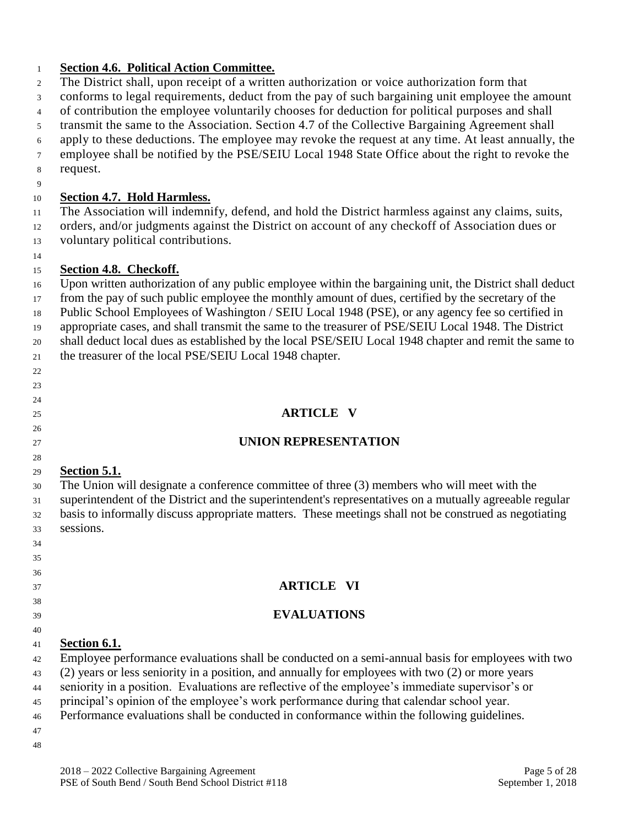#### **Section 4.6. Political Action Committee.**

- The District shall, upon receipt of a written authorization or voice authorization form that
- conforms to legal requirements, deduct from the pay of such bargaining unit employee the amount
- of contribution the employee voluntarily chooses for deduction for political purposes and shall
- transmit the same to the Association. Section 4.7 of the Collective Bargaining Agreement shall
- apply to these deductions. The employee may revoke the request at any time. At least annually, the
- employee shall be notified by the PSE/SEIU Local 1948 State Office about the right to revoke the request.
- 

#### **Section 4.7. Hold Harmless.**

 The Association will indemnify, defend, and hold the District harmless against any claims, suits, orders, and/or judgments against the District on account of any checkoff of Association dues or voluntary political contributions.

#### **Section 4.8. Checkoff.**

 Upon written authorization of any public employee within the bargaining unit, the District shall deduct from the pay of such public employee the monthly amount of dues, certified by the secretary of the Public School Employees of Washington / SEIU Local 1948 (PSE), or any agency fee so certified in appropriate cases, and shall transmit the same to the treasurer of PSE/SEIU Local 1948. The District shall deduct local dues as established by the local PSE/SEIU Local 1948 chapter and remit the same to the treasurer of the local PSE/SEIU Local 1948 chapter.

 

 

#### **ARTICLE V**

#### **UNION REPRESENTATION**

#### **Section 5.1.**

- The Union will designate a conference committee of three (3) members who will meet with the
- superintendent of the District and the superintendent's representatives on a mutually agreeable regular basis to informally discuss appropriate matters. These meetings shall not be construed as negotiating sessions.

# **ARTICLE VI**

# **EVALUATIONS**

# **Section 6.1.**

- Employee performance evaluations shall be conducted on a semi-annual basis for employees with two
- (2) years or less seniority in a position, and annually for employees with two (2) or more years
- seniority in a position. Evaluations are reflective of the employee's immediate supervisor's or
- principal's opinion of the employee's work performance during that calendar school year.
- Performance evaluations shall be conducted in conformance within the following guidelines.
-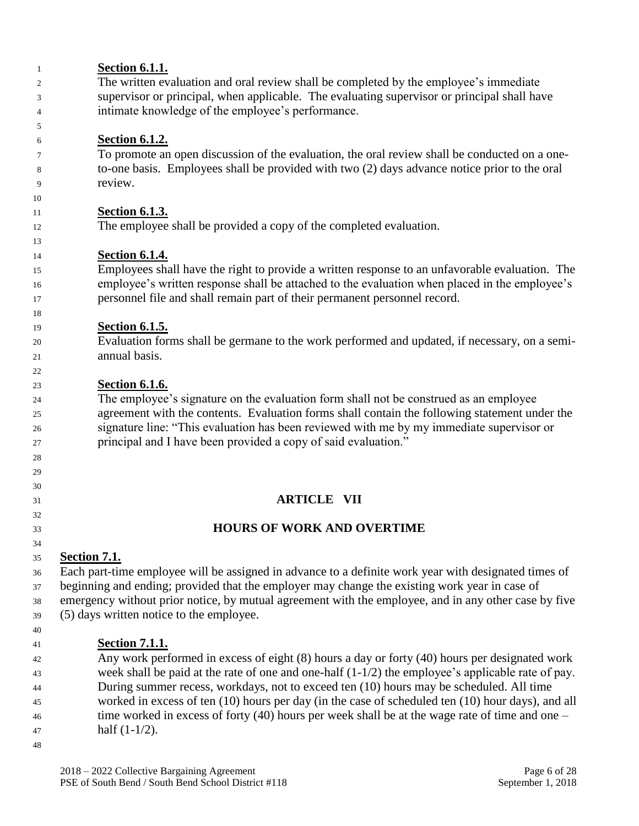| 1  | <b>Section 6.1.1.</b>                                                                                |
|----|------------------------------------------------------------------------------------------------------|
| 2  | The written evaluation and oral review shall be completed by the employee's immediate                |
| 3  | supervisor or principal, when applicable. The evaluating supervisor or principal shall have          |
| 4  | intimate knowledge of the employee's performance.                                                    |
| 5  |                                                                                                      |
| 6  | Section 6.1.2.                                                                                       |
| 7  | To promote an open discussion of the evaluation, the oral review shall be conducted on a one-        |
| 8  | to-one basis. Employees shall be provided with two (2) days advance notice prior to the oral         |
| 9  | review.                                                                                              |
| 10 |                                                                                                      |
| 11 | <b>Section 6.1.3.</b>                                                                                |
| 12 | The employee shall be provided a copy of the completed evaluation.                                   |
| 13 |                                                                                                      |
| 14 | <b>Section 6.1.4.</b>                                                                                |
| 15 | Employees shall have the right to provide a written response to an unfavorable evaluation. The       |
| 16 | employee's written response shall be attached to the evaluation when placed in the employee's        |
| 17 | personnel file and shall remain part of their permanent personnel record.                            |
| 18 |                                                                                                      |
| 19 | <b>Section 6.1.5.</b>                                                                                |
| 20 | Evaluation forms shall be germane to the work performed and updated, if necessary, on a semi-        |
| 21 | annual basis.                                                                                        |
| 22 |                                                                                                      |
| 23 | <b>Section 6.1.6.</b>                                                                                |
| 24 | The employee's signature on the evaluation form shall not be construed as an employee                |
| 25 | agreement with the contents. Evaluation forms shall contain the following statement under the        |
| 26 | signature line: "This evaluation has been reviewed with me by my immediate supervisor or             |
| 27 | principal and I have been provided a copy of said evaluation."                                       |
| 28 |                                                                                                      |
| 29 |                                                                                                      |
| 30 |                                                                                                      |
| 31 | <b>ARTICLE VII</b>                                                                                   |
| 32 |                                                                                                      |
| 33 | <b>HOURS OF WORK AND OVERTIME</b>                                                                    |
| 34 |                                                                                                      |
| 35 | <b>Section 7.1.</b>                                                                                  |
| 36 | Each part-time employee will be assigned in advance to a definite work year with designated times of |
| 37 | beginning and ending; provided that the employer may change the existing work year in case of        |
| 38 | emergency without prior notice, by mutual agreement with the employee, and in any other case by five |
| 39 | (5) days written notice to the employee.                                                             |
| 40 |                                                                                                      |
| 41 | <b>Section 7.1.1.</b>                                                                                |
| 42 | Any work performed in excess of eight (8) hours a day or forty (40) hours per designated work        |
| 43 | week shall be paid at the rate of one and one-half $(1-1/2)$ the employee's applicable rate of pay.  |
| 44 | During summer recess, workdays, not to exceed ten (10) hours may be scheduled. All time              |
| 45 | worked in excess of ten (10) hours per day (in the case of scheduled ten (10) hour days), and all    |
| 46 | time worked in excess of forty (40) hours per week shall be at the wage rate of time and one $-$     |

- half (1-1/2).
-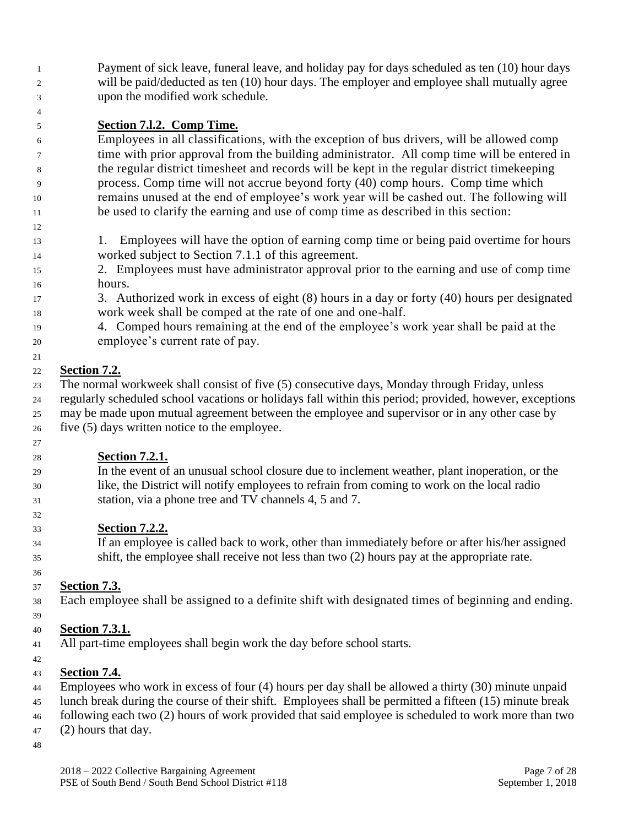Payment of sick leave, funeral leave, and holiday pay for days scheduled as ten (10) hour days will be paid/deducted as ten (10) hour days. The employer and employee shall mutually agree upon the modified work schedule.

#### **Section 7.l.2. Comp Time.**

 Employees in all classifications, with the exception of bus drivers, will be allowed comp time with prior approval from the building administrator. All comp time will be entered in the regular district timesheet and records will be kept in the regular district timekeeping process. Comp time will not accrue beyond forty (40) comp hours. Comp time which remains unused at the end of employee's work year will be cashed out. The following will be used to clarify the earning and use of comp time as described in this section:

- 1. Employees will have the option of earning comp time or being paid overtime for hours worked subject to Section 7.1.1 of this agreement.
- 2. Employees must have administrator approval prior to the earning and use of comp time hours.
- 3. Authorized work in excess of eight (8) hours in a day or forty (40) hours per designated work week shall be comped at the rate of one and one-half.
- 4. Comped hours remaining at the end of the employee's work year shall be paid at the employee's current rate of pay.

#### **Section 7.2.**

 The normal workweek shall consist of five (5) consecutive days, Monday through Friday, unless regularly scheduled school vacations or holidays fall within this period; provided, however, exceptions may be made upon mutual agreement between the employee and supervisor or in any other case by five (5) days written notice to the employee.

- **Section 7.2.1.**
- In the event of an unusual school closure due to inclement weather, plant inoperation, or the like, the District will notify employees to refrain from coming to work on the local radio station, via a phone tree and TV channels 4, 5 and 7.

#### **Section 7.2.2.**

 If an employee is called back to work, other than immediately before or after his/her assigned shift, the employee shall receive not less than two (2) hours pay at the appropriate rate.

#### **Section 7.3.**

Each employee shall be assigned to a definite shift with designated times of beginning and ending.

# **Section 7.3.1.**

- All part-time employees shall begin work the day before school starts.
- 

- **Section 7.4.**
- Employees who work in excess of four (4) hours per day shall be allowed a thirty (30) minute unpaid
- lunch break during the course of their shift. Employees shall be permitted a fifteen (15) minute break
- following each two (2) hours of work provided that said employee is scheduled to work more than two
- (2) hours that day.
-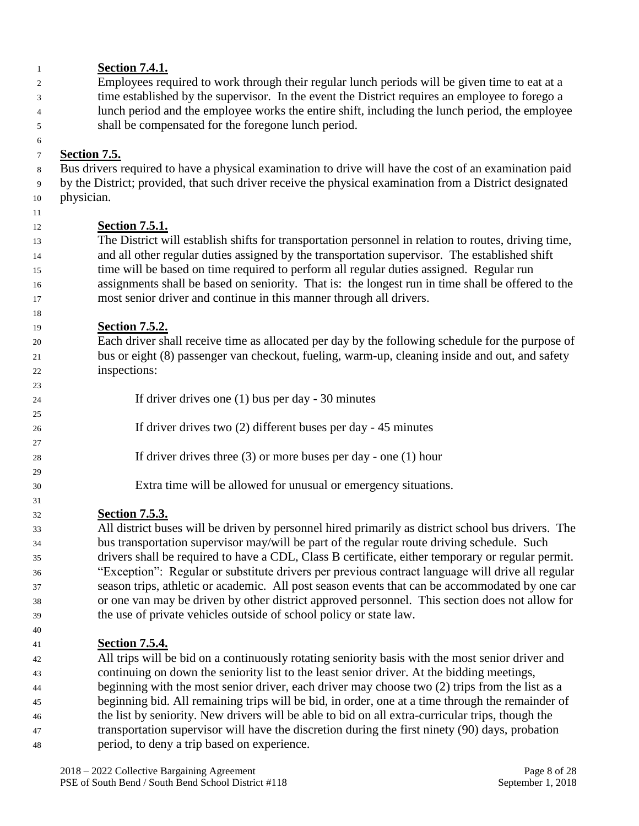| 1        | <b>Section 7.4.1.</b>                                                                                                                                                                         |
|----------|-----------------------------------------------------------------------------------------------------------------------------------------------------------------------------------------------|
| 2        | Employees required to work through their regular lunch periods will be given time to eat at a                                                                                                 |
| 3        | time established by the supervisor. In the event the District requires an employee to forego a                                                                                                |
| 4        | lunch period and the employee works the entire shift, including the lunch period, the employee                                                                                                |
| 5        | shall be compensated for the foregone lunch period.                                                                                                                                           |
| 6        |                                                                                                                                                                                               |
| 7        | <b>Section 7.5.</b>                                                                                                                                                                           |
| 8        | Bus drivers required to have a physical examination to drive will have the cost of an examination paid                                                                                        |
| 9        | by the District; provided, that such driver receive the physical examination from a District designated                                                                                       |
| 10       | physician.                                                                                                                                                                                    |
| 11       |                                                                                                                                                                                               |
| 12       | <b>Section 7.5.1.</b>                                                                                                                                                                         |
| 13       | The District will establish shifts for transportation personnel in relation to routes, driving time,                                                                                          |
| 14       | and all other regular duties assigned by the transportation supervisor. The established shift                                                                                                 |
| 15       | time will be based on time required to perform all regular duties assigned. Regular run                                                                                                       |
| 16       | assignments shall be based on seniority. That is: the longest run in time shall be offered to the                                                                                             |
| 17       | most senior driver and continue in this manner through all drivers.                                                                                                                           |
| 18       |                                                                                                                                                                                               |
| 19       | <b>Section 7.5.2.</b><br>Each driver shall receive time as allocated per day by the following schedule for the purpose of                                                                     |
| 20       | bus or eight (8) passenger van checkout, fueling, warm-up, cleaning inside and out, and safety                                                                                                |
| 21<br>22 | inspections:                                                                                                                                                                                  |
| 23       |                                                                                                                                                                                               |
| 24       | If driver drives one $(1)$ bus per day - 30 minutes                                                                                                                                           |
| 25       |                                                                                                                                                                                               |
| 26       | If driver drives two $(2)$ different buses per day - 45 minutes                                                                                                                               |
| 27       |                                                                                                                                                                                               |
| 28       | If driver drives three $(3)$ or more buses per day - one $(1)$ hour                                                                                                                           |
| 29       |                                                                                                                                                                                               |
| 30       | Extra time will be allowed for unusual or emergency situations.                                                                                                                               |
| 31       |                                                                                                                                                                                               |
| 32       | <u>Section 7.5.3.</u>                                                                                                                                                                         |
| 33       | All district buses will be driven by personnel hired primarily as district school bus drivers. The                                                                                            |
| 34       | bus transportation supervisor may/will be part of the regular route driving schedule. Such                                                                                                    |
| 35       | drivers shall be required to have a CDL, Class B certificate, either temporary or regular permit.                                                                                             |
| 36       | "Exception": Regular or substitute drivers per previous contract language will drive all regular                                                                                              |
| 37       | season trips, athletic or academic. All post season events that can be accommodated by one car                                                                                                |
| 38       | or one van may be driven by other district approved personnel. This section does not allow for                                                                                                |
| 39       | the use of private vehicles outside of school policy or state law.                                                                                                                            |
| 40       |                                                                                                                                                                                               |
| 41       | <u>Section 7.5.4.</u>                                                                                                                                                                         |
| 42       | All trips will be bid on a continuously rotating seniority basis with the most senior driver and<br>continuing on down the conjority list to the legst senior driver. At the hidding meetings |
|          |                                                                                                                                                                                               |

 continuing on down the seniority list to the least senior driver. At the bidding meetings, <sup>44</sup> beginning with the most senior driver, each driver may choose two (2) trips from the list as a beginning bid. All remaining trips will be bid, in order, one at a time through the remainder of the list by seniority. New drivers will be able to bid on all extra-curricular trips, though the transportation supervisor will have the discretion during the first ninety (90) days, probation period, to deny a trip based on experience.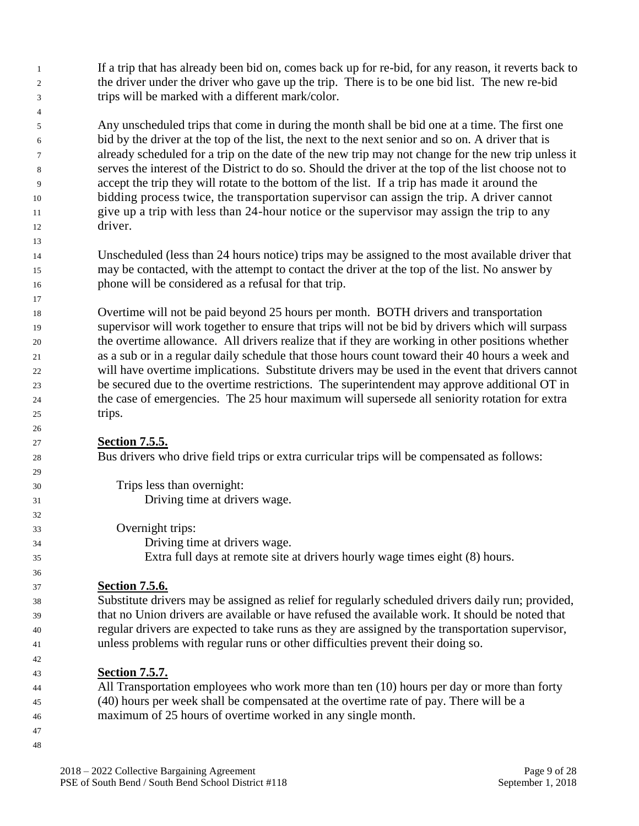If a trip that has already been bid on, comes back up for re-bid, for any reason, it reverts back to the driver under the driver who gave up the trip. There is to be one bid list. The new re-bid trips will be marked with a different mark/color.

 Any unscheduled trips that come in during the month shall be bid one at a time. The first one bid by the driver at the top of the list, the next to the next senior and so on. A driver that is already scheduled for a trip on the date of the new trip may not change for the new trip unless it serves the interest of the District to do so. Should the driver at the top of the list choose not to accept the trip they will rotate to the bottom of the list. If a trip has made it around the bidding process twice, the transportation supervisor can assign the trip. A driver cannot give up a trip with less than 24-hour notice or the supervisor may assign the trip to any driver.

 Unscheduled (less than 24 hours notice) trips may be assigned to the most available driver that may be contacted, with the attempt to contact the driver at the top of the list. No answer by phone will be considered as a refusal for that trip.

 Overtime will not be paid beyond 25 hours per month. BOTH drivers and transportation supervisor will work together to ensure that trips will not be bid by drivers which will surpass the overtime allowance. All drivers realize that if they are working in other positions whether as a sub or in a regular daily schedule that those hours count toward their 40 hours a week and will have overtime implications. Substitute drivers may be used in the event that drivers cannot be secured due to the overtime restrictions. The superintendent may approve additional OT in the case of emergencies. The 25 hour maximum will supersede all seniority rotation for extra trips.

#### **Section 7.5.5.**

Bus drivers who drive field trips or extra curricular trips will be compensated as follows:

 Trips less than overnight: Driving time at drivers wage. Overnight trips: Driving time at drivers wage. Extra full days at remote site at drivers hourly wage times eight (8) hours.

#### **Section 7.5.6.**

 Substitute drivers may be assigned as relief for regularly scheduled drivers daily run; provided, that no Union drivers are available or have refused the available work. It should be noted that regular drivers are expected to take runs as they are assigned by the transportation supervisor, unless problems with regular runs or other difficulties prevent their doing so.

#### **Section 7.5.7.**

 All Transportation employees who work more than ten (10) hours per day or more than forty (40) hours per week shall be compensated at the overtime rate of pay. There will be a maximum of 25 hours of overtime worked in any single month.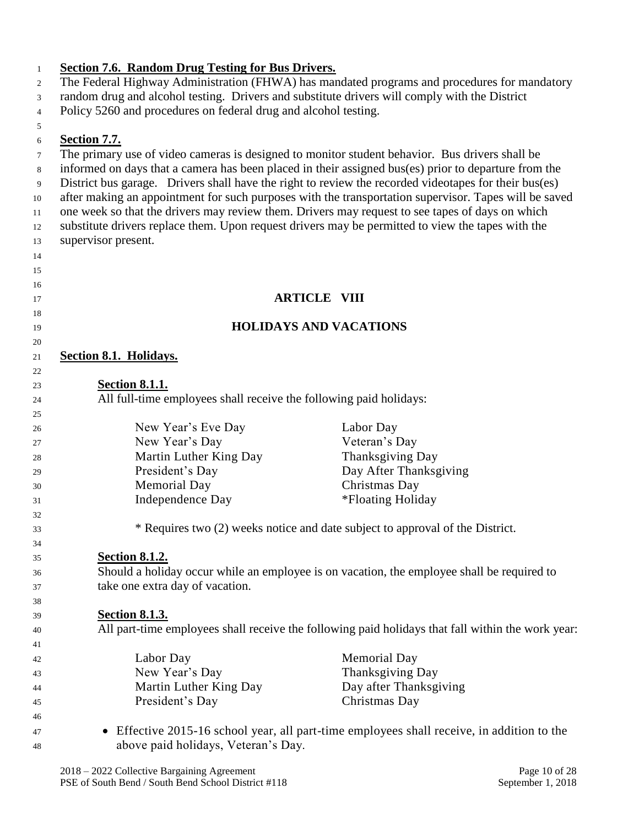#### **Section 7.6. Random Drug Testing for Bus Drivers.** The Federal Highway Administration (FHWA) has mandated programs and procedures for mandatory random drug and alcohol testing. Drivers and substitute drivers will comply with the District Policy 5260 and procedures on federal drug and alcohol testing. **Section 7.7.** The primary use of video cameras is designed to monitor student behavior. Bus drivers shall be informed on days that a camera has been placed in their assigned bus(es) prior to departure from the District bus garage. Drivers shall have the right to review the recorded videotapes for their bus(es) after making an appointment for such purposes with the transportation supervisor. Tapes will be saved one week so that the drivers may review them. Drivers may request to see tapes of days on which substitute drivers replace them. Upon request drivers may be permitted to view the tapes with the supervisor present. **ARTICLE VIII HOLIDAYS AND VACATIONS Section 8.1. Holidays. Section 8.1.1.** All full-time employees shall receive the following paid holidays: New Year's Eve Day Labor Day New Year's Day Veteran's Day Martin Luther King Day Thanksgiving Day President's Day Day After Thanksgiving Memorial Day Christmas Day 31 Independence Day \*Floating Holiday \* Requires two (2) weeks notice and date subject to approval of the District. **Section 8.1.2.** Should a holiday occur while an employee is on vacation, the employee shall be required to take one extra day of vacation. **Section 8.1.3.** All part-time employees shall receive the following paid holidays that fall within the work year: Labor Day Memorial Day New Year's Day Thanksgiving Day Martin Luther King Day Day after Thanksgiving President's Day Christmas Day • Effective 2015-16 school year, all part-time employees shall receive, in addition to the above paid holidays, Veteran's Day.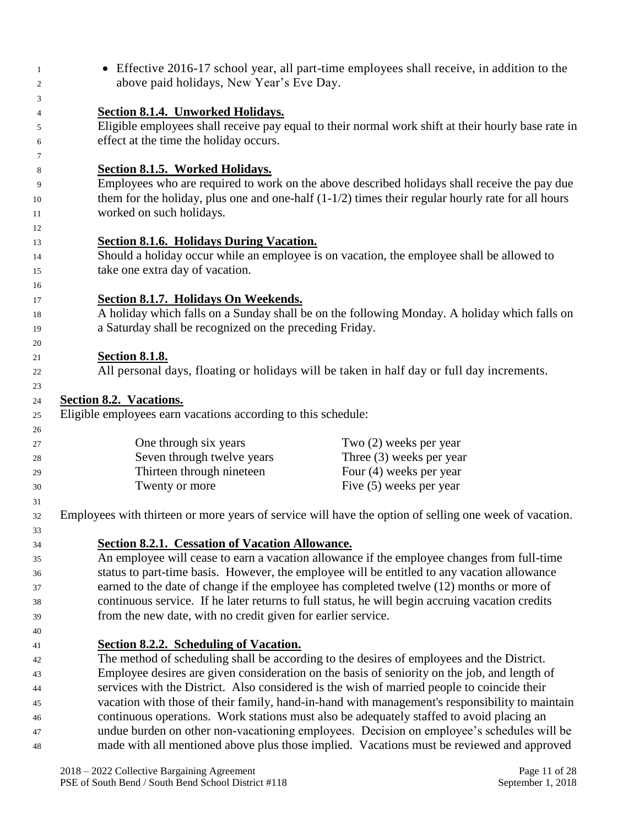• Effective 2016-17 school year, all part-time employees shall receive, in addition to the above paid holidays, New Year's Eve Day. **Section 8.1.4. Unworked Holidays.** Eligible employees shall receive pay equal to their normal work shift at their hourly base rate in effect at the time the holiday occurs. **Section 8.1.5. Worked Holidays.** Employees who are required to work on the above described holidays shall receive the pay due them for the holiday, plus one and one-half (1-1/2) times their regular hourly rate for all hours worked on such holidays. **Section 8.1.6. Holidays During Vacation.** Should a holiday occur while an employee is on vacation, the employee shall be allowed to take one extra day of vacation. **Section 8.1.7. Holidays On Weekends.** A holiday which falls on a Sunday shall be on the following Monday. A holiday which falls on a Saturday shall be recognized on the preceding Friday. **Section 8.1.8.** All personal days, floating or holidays will be taken in half day or full day increments. **Section 8.2. Vacations.** Eligible employees earn vacations according to this schedule: One through six years Two (2) weeks per year Seven through twelve years Three (3) weeks per year Thirteen through nineteen Four (4) weeks per year 30 Twenty or more Five (5) weeks per year Employees with thirteen or more years of service will have the option of selling one week of vacation. **Section 8.2.1. Cessation of Vacation Allowance.** An employee will cease to earn a vacation allowance if the employee changes from full-time status to part-time basis. However, the employee will be entitled to any vacation allowance earned to the date of change if the employee has completed twelve (12) months or more of continuous service. If he later returns to full status, he will begin accruing vacation credits from the new date, with no credit given for earlier service. **Section 8.2.2. Scheduling of Vacation.** The method of scheduling shall be according to the desires of employees and the District. Employee desires are given consideration on the basis of seniority on the job, and length of services with the District. Also considered is the wish of married people to coincide their vacation with those of their family, hand-in-hand with management's responsibility to maintain continuous operations. Work stations must also be adequately staffed to avoid placing an undue burden on other non-vacationing employees. Decision on employee's schedules will be made with all mentioned above plus those implied. Vacations must be reviewed and approved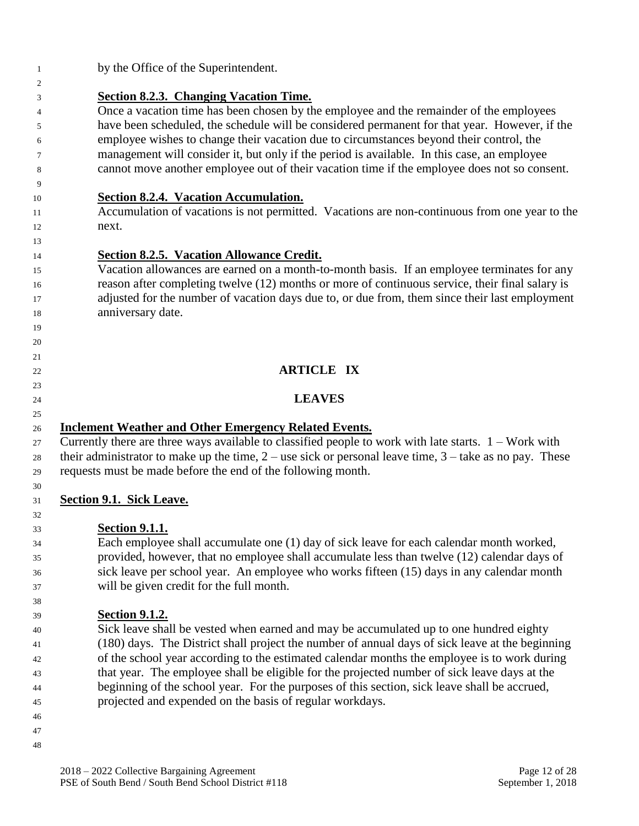| $\overline{1}$ | by the Office of the Superintendent.                                                                        |
|----------------|-------------------------------------------------------------------------------------------------------------|
| $\overline{c}$ |                                                                                                             |
| 3              | <b>Section 8.2.3. Changing Vacation Time.</b>                                                               |
| 4              | Once a vacation time has been chosen by the employee and the remainder of the employees                     |
| 5              | have been scheduled, the schedule will be considered permanent for that year. However, if the               |
| 6              | employee wishes to change their vacation due to circumstances beyond their control, the                     |
| 7              | management will consider it, but only if the period is available. In this case, an employee                 |
| 8              | cannot move another employee out of their vacation time if the employee does not so consent.                |
| 9              |                                                                                                             |
| 10             | Section 8.2.4. Vacation Accumulation.                                                                       |
| 11             | Accumulation of vacations is not permitted. Vacations are non-continuous from one year to the               |
| 12             | next.                                                                                                       |
| 13             |                                                                                                             |
| 14             | <b>Section 8.2.5. Vacation Allowance Credit.</b>                                                            |
| 15             | Vacation allowances are earned on a month-to-month basis. If an employee terminates for any                 |
| 16             | reason after completing twelve (12) months or more of continuous service, their final salary is             |
| 17             | adjusted for the number of vacation days due to, or due from, them since their last employment              |
| 18             | anniversary date.                                                                                           |
| 19             |                                                                                                             |
| 20             |                                                                                                             |
| 21             |                                                                                                             |
| 22             | <b>ARTICLE IX</b>                                                                                           |
| 23             |                                                                                                             |
| 24             | <b>LEAVES</b>                                                                                               |
| 25             |                                                                                                             |
| 26             | <b>Inclement Weather and Other Emergency Related Events.</b>                                                |
| 27             | Currently there are three ways available to classified people to work with late starts. $1 - Work$ with     |
| 28             | their administrator to make up the time, $2$ – use sick or personal leave time, $3$ – take as no pay. These |
| 29             | requests must be made before the end of the following month.                                                |
| 30             |                                                                                                             |
| 31             | <b>Section 9.1. Sick Leave.</b>                                                                             |
| 32             |                                                                                                             |
| 33             | <b>Section 9.1.1.</b>                                                                                       |
| 34             | Each employee shall accumulate one (1) day of sick leave for each calendar month worked,                    |
| 35             | provided, however, that no employee shall accumulate less than twelve (12) calendar days of                 |
| 36             | sick leave per school year. An employee who works fifteen (15) days in any calendar month                   |
| 37             | will be given credit for the full month.                                                                    |
| 38             | <b>Section 9.1.2.</b>                                                                                       |
| 39             | Sick leave shall be vested when earned and may be accumulated up to one hundred eighty                      |
| 40             | (180) days. The District shall project the number of annual days of sick leave at the beginning             |
| 41             | of the school year according to the estimated calendar months the employee is to work during                |
| 42<br>43       | that year. The employee shall be eligible for the projected number of sick leave days at the                |
|                | beginning of the school year. For the purposes of this section, sick leave shall be accrued,                |
| 44<br>45       | projected and expended on the basis of regular workdays.                                                    |
| 46             |                                                                                                             |
| 47             |                                                                                                             |
| 48             |                                                                                                             |
|                |                                                                                                             |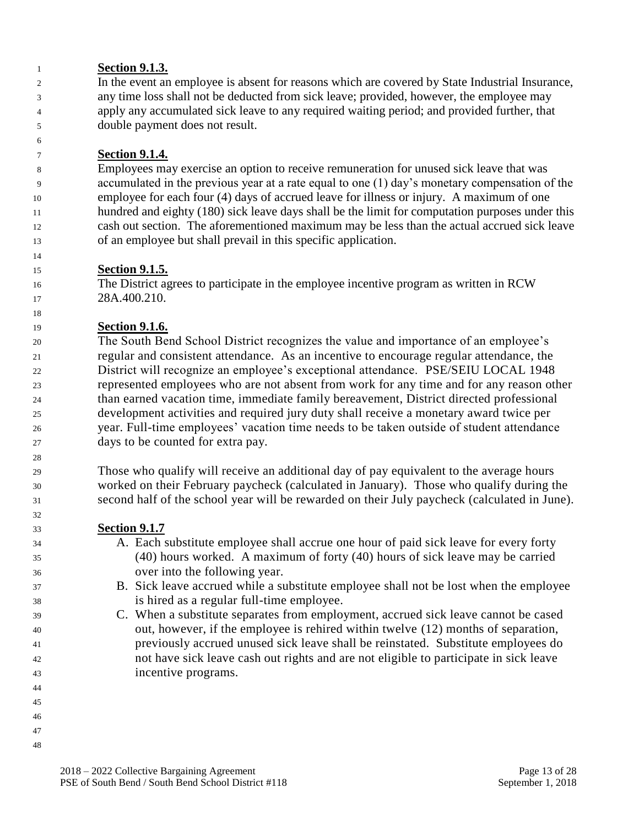#### **Section 9.1.3.**

 In the event an employee is absent for reasons which are covered by State Industrial Insurance, any time loss shall not be deducted from sick leave; provided, however, the employee may apply any accumulated sick leave to any required waiting period; and provided further, that double payment does not result.

#### **Section 9.1.4.**

 Employees may exercise an option to receive remuneration for unused sick leave that was accumulated in the previous year at a rate equal to one (1) day's monetary compensation of the employee for each four (4) days of accrued leave for illness or injury. A maximum of one hundred and eighty (180) sick leave days shall be the limit for computation purposes under this cash out section. The aforementioned maximum may be less than the actual accrued sick leave of an employee but shall prevail in this specific application.

#### **Section 9.1.5.**

 The District agrees to participate in the employee incentive program as written in RCW 28A.400.210.

#### **Section 9.1.6.**

 The South Bend School District recognizes the value and importance of an employee's regular and consistent attendance. As an incentive to encourage regular attendance, the District will recognize an employee's exceptional attendance. PSE/SEIU LOCAL 1948 represented employees who are not absent from work for any time and for any reason other than earned vacation time, immediate family bereavement, District directed professional development activities and required jury duty shall receive a monetary award twice per year. Full-time employees' vacation time needs to be taken outside of student attendance days to be counted for extra pay.

 Those who qualify will receive an additional day of pay equivalent to the average hours worked on their February paycheck (calculated in January). Those who qualify during the second half of the school year will be rewarded on their July paycheck (calculated in June).

#### **Section 9.1.7**

- A. Each substitute employee shall accrue one hour of paid sick leave for every forty (40) hours worked. A maximum of forty (40) hours of sick leave may be carried over into the following year.
- B. Sick leave accrued while a substitute employee shall not be lost when the employee is hired as a regular full-time employee.
- C. When a substitute separates from employment, accrued sick leave cannot be cased out, however, if the employee is rehired within twelve (12) months of separation, previously accrued unused sick leave shall be reinstated. Substitute employees do not have sick leave cash out rights and are not eligible to participate in sick leave incentive programs.
- 
- 
- 
-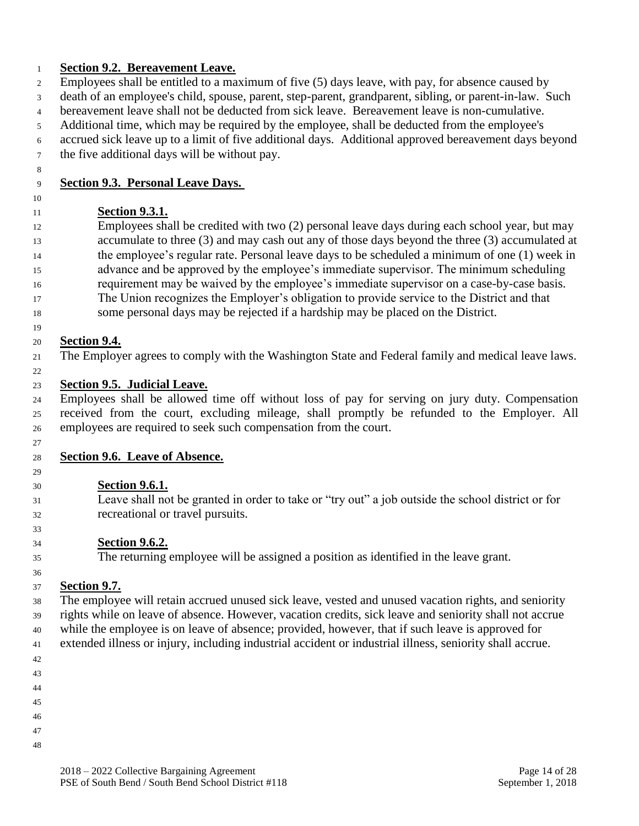#### **Section 9.2. Bereavement Leave.**

- Employees shall be entitled to a maximum of five (5) days leave, with pay, for absence caused by
- death of an employee's child, spouse, parent, step-parent, grandparent, sibling, or parent-in-law. Such
- bereavement leave shall not be deducted from sick leave. Bereavement leave is non-cumulative.
- Additional time, which may be required by the employee, shall be deducted from the employee's
- accrued sick leave up to a limit of five additional days. Additional approved bereavement days beyond the five additional days will be without pay.
- 

# **Section 9.3. Personal Leave Days.**

#### 

# **Section 9.3.1.**

 Employees shall be credited with two (2) personal leave days during each school year, but may accumulate to three (3) and may cash out any of those days beyond the three (3) accumulated at the employee's regular rate. Personal leave days to be scheduled a minimum of one (1) week in advance and be approved by the employee's immediate supervisor. The minimum scheduling requirement may be waived by the employee's immediate supervisor on a case-by-case basis.

- The Union recognizes the Employer's obligation to provide service to the District and that
- some personal days may be rejected if a hardship may be placed on the District.

# **Section 9.4.**

The Employer agrees to comply with the Washington State and Federal family and medical leave laws.

# 

# **Section 9.5. Judicial Leave.**

 Employees shall be allowed time off without loss of pay for serving on jury duty. Compensation received from the court, excluding mileage, shall promptly be refunded to the Employer. All employees are required to seek such compensation from the court.

# **Section 9.6. Leave of Absence.**

# **Section 9.6.1.**

 Leave shall not be granted in order to take or "try out" a job outside the school district or for recreational or travel pursuits.

# **Section 9.6.2.**

The returning employee will be assigned a position as identified in the leave grant.

#### **Section 9.7.**

 The employee will retain accrued unused sick leave, vested and unused vacation rights, and seniority rights while on leave of absence. However, vacation credits, sick leave and seniority shall not accrue while the employee is on leave of absence; provided, however, that if such leave is approved for

- extended illness or injury, including industrial accident or industrial illness, seniority shall accrue.
- 
- 
- 
- 
- 
- 
- 
- 
-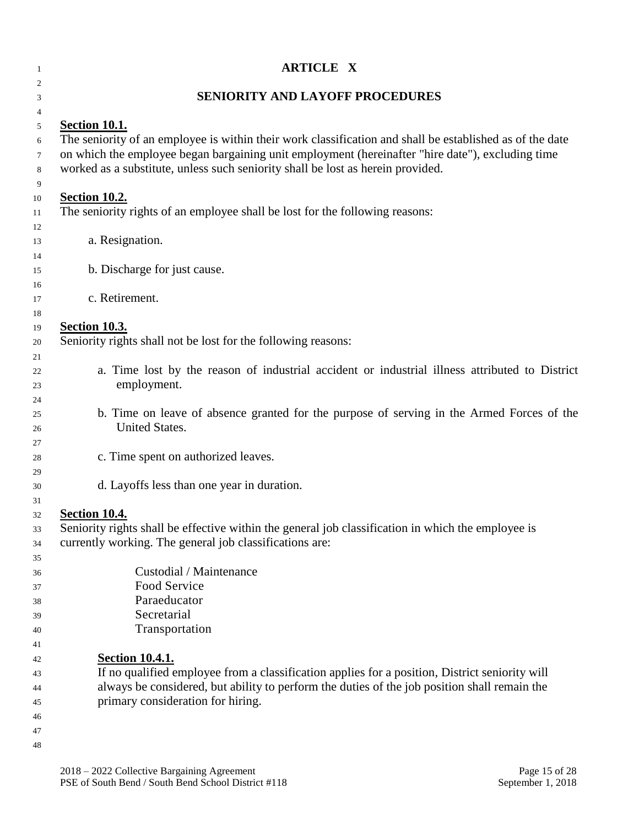| 1           | <b>ARTICLE X</b>                                                                                                                                                                    |  |  |
|-------------|-------------------------------------------------------------------------------------------------------------------------------------------------------------------------------------|--|--|
| 2<br>3      | <b>SENIORITY AND LAYOFF PROCEDURES</b>                                                                                                                                              |  |  |
| 4           |                                                                                                                                                                                     |  |  |
| 5           | <b>Section 10.1.</b>                                                                                                                                                                |  |  |
| 6           | The seniority of an employee is within their work classification and shall be established as of the date                                                                            |  |  |
| 7<br>8<br>9 | on which the employee began bargaining unit employment (hereinafter "hire date"), excluding time<br>worked as a substitute, unless such seniority shall be lost as herein provided. |  |  |
| 10          | <b>Section 10.2.</b>                                                                                                                                                                |  |  |
| 11          | The seniority rights of an employee shall be lost for the following reasons:                                                                                                        |  |  |
| 12          |                                                                                                                                                                                     |  |  |
| 13          | a. Resignation.                                                                                                                                                                     |  |  |
| 14<br>15    | b. Discharge for just cause.                                                                                                                                                        |  |  |
| 16          |                                                                                                                                                                                     |  |  |
| 17          | c. Retirement.                                                                                                                                                                      |  |  |
| 18          |                                                                                                                                                                                     |  |  |
| 19          | <b>Section 10.3.</b>                                                                                                                                                                |  |  |
| 20          | Seniority rights shall not be lost for the following reasons:                                                                                                                       |  |  |
| 21          |                                                                                                                                                                                     |  |  |
| 22          | a. Time lost by the reason of industrial accident or industrial illness attributed to District                                                                                      |  |  |
| 23          | employment.                                                                                                                                                                         |  |  |
| 24          |                                                                                                                                                                                     |  |  |
| 25          | b. Time on leave of absence granted for the purpose of serving in the Armed Forces of the<br>United States.                                                                         |  |  |
| 26          |                                                                                                                                                                                     |  |  |
| 27<br>28    | c. Time spent on authorized leaves.                                                                                                                                                 |  |  |
| 29          |                                                                                                                                                                                     |  |  |
| 30          | d. Layoffs less than one year in duration.                                                                                                                                          |  |  |
| 31          |                                                                                                                                                                                     |  |  |
| 32          | <b>Section 10.4.</b>                                                                                                                                                                |  |  |
| 33          | Seniority rights shall be effective within the general job classification in which the employee is                                                                                  |  |  |
| 34          | currently working. The general job classifications are:                                                                                                                             |  |  |
| 35          |                                                                                                                                                                                     |  |  |
| 36          | Custodial / Maintenance                                                                                                                                                             |  |  |
| 37          | Food Service                                                                                                                                                                        |  |  |
| 38          | Paraeducator                                                                                                                                                                        |  |  |
| 39          | Secretarial                                                                                                                                                                         |  |  |
| 40          | Transportation                                                                                                                                                                      |  |  |
| 41          |                                                                                                                                                                                     |  |  |
| 42          | <b>Section 10.4.1.</b><br>If no qualified employee from a classification applies for a position, District seniority will                                                            |  |  |
| 43<br>44    | always be considered, but ability to perform the duties of the job position shall remain the                                                                                        |  |  |
| 45          | primary consideration for hiring.                                                                                                                                                   |  |  |
| 46          |                                                                                                                                                                                     |  |  |
| 47          |                                                                                                                                                                                     |  |  |
| 48          |                                                                                                                                                                                     |  |  |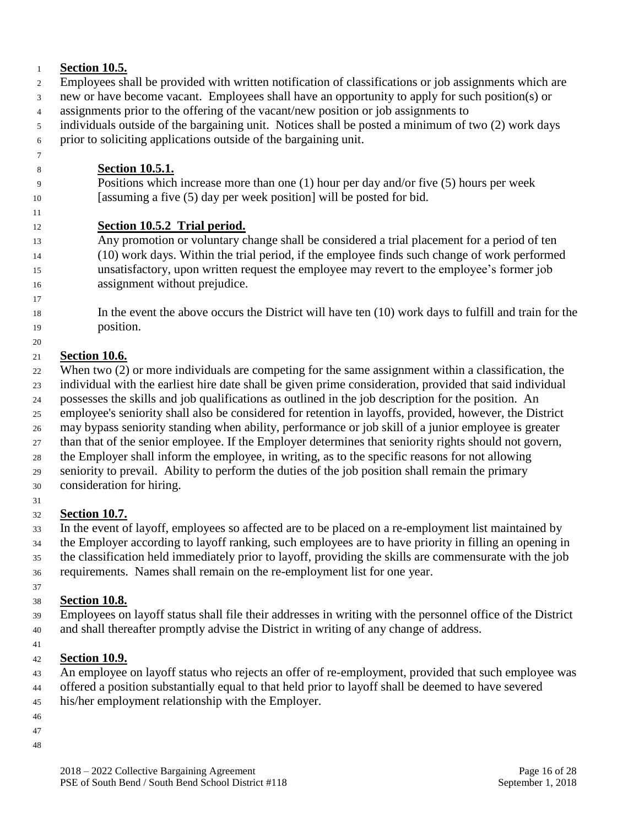#### **Section 10.5.**

- Employees shall be provided with written notification of classifications or job assignments which are new or have become vacant. Employees shall have an opportunity to apply for such position(s) or
- assignments prior to the offering of the vacant/new position or job assignments to
- individuals outside of the bargaining unit. Notices shall be posted a minimum of two (2) work days prior to soliciting applications outside of the bargaining unit.
- **Section 10.5.1.**
- Positions which increase more than one (1) hour per day and/or five (5) hours per week [assuming a five (5) day per week position] will be posted for bid.

# **Section 10.5.2 Trial period.**

- Any promotion or voluntary change shall be considered a trial placement for a period of ten (10) work days. Within the trial period, if the employee finds such change of work performed unsatisfactory, upon written request the employee may revert to the employee's former job assignment without prejudice.
- In the event the above occurs the District will have ten (10) work days to fulfill and train for the position.

# **Section 10.6.**

- When two (2) or more individuals are competing for the same assignment within a classification, the
- individual with the earliest hire date shall be given prime consideration, provided that said individual
- possesses the skills and job qualifications as outlined in the job description for the position. An
- employee's seniority shall also be considered for retention in layoffs, provided, however, the District
- may bypass seniority standing when ability, performance or job skill of a junior employee is greater
- than that of the senior employee. If the Employer determines that seniority rights should not govern, the Employer shall inform the employee, in writing, as to the specific reasons for not allowing
- seniority to prevail. Ability to perform the duties of the job position shall remain the primary
- consideration for hiring.

#### **Section 10.7.**

 In the event of layoff, employees so affected are to be placed on a re-employment list maintained by the Employer according to layoff ranking, such employees are to have priority in filling an opening in the classification held immediately prior to layoff, providing the skills are commensurate with the job requirements. Names shall remain on the re-employment list for one year.

# **Section 10.8.**

- Employees on layoff status shall file their addresses in writing with the personnel office of the District and shall thereafter promptly advise the District in writing of any change of address.
- 

# **Section 10.9.**

- An employee on layoff status who rejects an offer of re-employment, provided that such employee was offered a position substantially equal to that held prior to layoff shall be deemed to have severed
- his/her employment relationship with the Employer.
- 
- 
-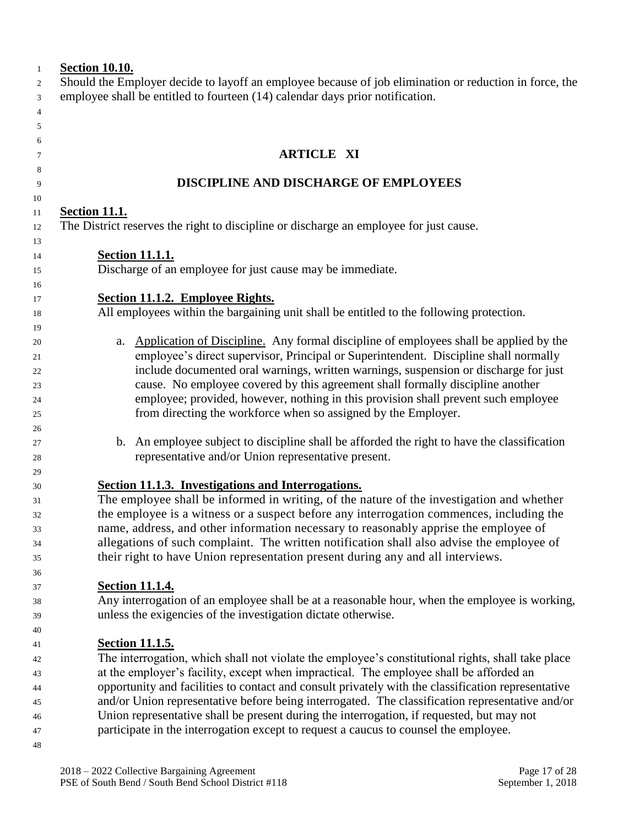| $\mathbf{1}$   | <b>Section 10.10.</b>                                                                                                                                                            |
|----------------|----------------------------------------------------------------------------------------------------------------------------------------------------------------------------------|
| 2              | Should the Employer decide to layoff an employee because of job elimination or reduction in force, the                                                                           |
| 3              | employee shall be entitled to fourteen (14) calendar days prior notification.                                                                                                    |
| $\overline{4}$ |                                                                                                                                                                                  |
| 5              |                                                                                                                                                                                  |
| 6<br>7         | <b>ARTICLE XI</b>                                                                                                                                                                |
| 8              |                                                                                                                                                                                  |
| 9              | DISCIPLINE AND DISCHARGE OF EMPLOYEES                                                                                                                                            |
| 10             |                                                                                                                                                                                  |
| 11             | <b>Section 11.1.</b>                                                                                                                                                             |
| 12             | The District reserves the right to discipline or discharge an employee for just cause.                                                                                           |
| 13             |                                                                                                                                                                                  |
| 14             | <b>Section 11.1.1.</b><br>Discharge of an employee for just cause may be immediate.                                                                                              |
| 15<br>16       |                                                                                                                                                                                  |
| 17             | Section 11.1.2. Employee Rights.                                                                                                                                                 |
| 18             | All employees within the bargaining unit shall be entitled to the following protection.                                                                                          |
| 19             |                                                                                                                                                                                  |
| 20             | Application of Discipline. Any formal discipline of employees shall be applied by the<br>a.                                                                                      |
| 21             | employee's direct supervisor, Principal or Superintendent. Discipline shall normally                                                                                             |
| 22             | include documented oral warnings, written warnings, suspension or discharge for just                                                                                             |
| 23             | cause. No employee covered by this agreement shall formally discipline another                                                                                                   |
| 24             | employee; provided, however, nothing in this provision shall prevent such employee                                                                                               |
| 25             | from directing the workforce when so assigned by the Employer.                                                                                                                   |
| 26             |                                                                                                                                                                                  |
| 27             | b. An employee subject to discipline shall be afforded the right to have the classification                                                                                      |
| 28             | representative and/or Union representative present.                                                                                                                              |
| 29             |                                                                                                                                                                                  |
| 30             | Section 11.1.3. Investigations and Interrogations.                                                                                                                               |
| 31             | The employee shall be informed in writing, of the nature of the investigation and whether                                                                                        |
| 32             | the employee is a witness or a suspect before any interrogation commences, including the<br>name, address, and other information necessary to reasonably apprise the employee of |
| 33<br>34       | allegations of such complaint. The written notification shall also advise the employee of                                                                                        |
| 35             | their right to have Union representation present during any and all interviews.                                                                                                  |
| 36             |                                                                                                                                                                                  |
| 37             | <b>Section 11.1.4.</b>                                                                                                                                                           |
| 38             | Any interrogation of an employee shall be at a reasonable hour, when the employee is working,                                                                                    |
| 39             | unless the exigencies of the investigation dictate otherwise.                                                                                                                    |
| 40             |                                                                                                                                                                                  |
| 41             | <b><u>Section 11.1.5.</u></b>                                                                                                                                                    |
| 42             | The interrogation, which shall not violate the employee's constitutional rights, shall take place                                                                                |
| 43             | at the employer's facility, except when impractical. The employee shall be afforded an                                                                                           |
| 44             | opportunity and facilities to contact and consult privately with the classification representative                                                                               |
| 45             | and/or Union representative before being interrogated. The classification representative and/or                                                                                  |
| 46             | Union representative shall be present during the interrogation, if requested, but may not                                                                                        |
| 47             | participate in the interrogation except to request a caucus to counsel the employee.                                                                                             |
| 48             |                                                                                                                                                                                  |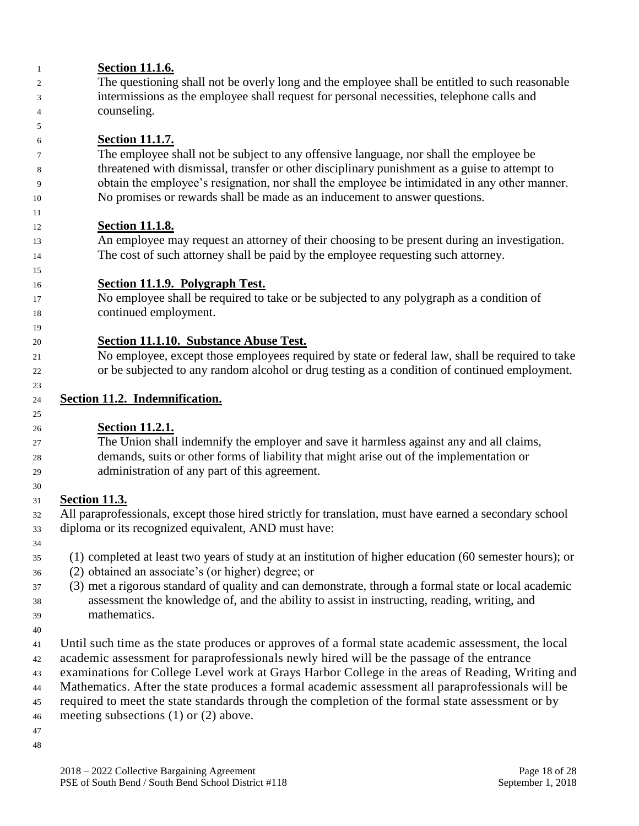| 1        | <b>Section 11.1.6.</b>                                                                                                                                                                          |
|----------|-------------------------------------------------------------------------------------------------------------------------------------------------------------------------------------------------|
| 2        | The questioning shall not be overly long and the employee shall be entitled to such reasonable                                                                                                  |
| 3        | intermissions as the employee shall request for personal necessities, telephone calls and                                                                                                       |
| 4        | counseling.                                                                                                                                                                                     |
| 5        |                                                                                                                                                                                                 |
| 6        | <b>Section 11.1.7.</b>                                                                                                                                                                          |
| 7        | The employee shall not be subject to any offensive language, nor shall the employee be                                                                                                          |
| 8        | threatened with dismissal, transfer or other disciplinary punishment as a guise to attempt to                                                                                                   |
| 9        | obtain the employee's resignation, nor shall the employee be intimidated in any other manner.                                                                                                   |
| 10       | No promises or rewards shall be made as an inducement to answer questions.                                                                                                                      |
| 11       |                                                                                                                                                                                                 |
| 12       | <u>Section 11.1.8.</u>                                                                                                                                                                          |
| 13       | An employee may request an attorney of their choosing to be present during an investigation.                                                                                                    |
| 14       | The cost of such attorney shall be paid by the employee requesting such attorney.                                                                                                               |
| 15       |                                                                                                                                                                                                 |
| 16       | Section 11.1.9. Polygraph Test.                                                                                                                                                                 |
| 17       | No employee shall be required to take or be subjected to any polygraph as a condition of                                                                                                        |
| 18       | continued employment.                                                                                                                                                                           |
| 19       |                                                                                                                                                                                                 |
| 20       | Section 11.1.10. Substance Abuse Test.                                                                                                                                                          |
| 21       | No employee, except those employees required by state or federal law, shall be required to take                                                                                                 |
| 22       | or be subjected to any random alcohol or drug testing as a condition of continued employment.                                                                                                   |
| 23       |                                                                                                                                                                                                 |
| 24       | Section 11.2. Indemnification.                                                                                                                                                                  |
| 25<br>26 | <b>Section 11.2.1.</b>                                                                                                                                                                          |
| 27       | The Union shall indemnify the employer and save it harmless against any and all claims,                                                                                                         |
| 28       | demands, suits or other forms of liability that might arise out of the implementation or                                                                                                        |
| 29       | administration of any part of this agreement.                                                                                                                                                   |
| 30       |                                                                                                                                                                                                 |
| 31       | <b>Section 11.3.</b>                                                                                                                                                                            |
| 32       | All paraprofessionals, except those hired strictly for translation, must have earned a secondary school                                                                                         |
| 33       | diploma or its recognized equivalent, AND must have:                                                                                                                                            |
| 34       |                                                                                                                                                                                                 |
| 35       | (1) completed at least two years of study at an institution of higher education (60 semester hours); or                                                                                         |
| 36       | (2) obtained an associate's (or higher) degree; or                                                                                                                                              |
| 37       | (3) met a rigorous standard of quality and can demonstrate, through a formal state or local academic                                                                                            |
|          | assessment the knowledge of, and the ability to assist in instructing, reading, writing, and                                                                                                    |
| 38       | mathematics.                                                                                                                                                                                    |
| 39       |                                                                                                                                                                                                 |
| 40       |                                                                                                                                                                                                 |
| 41       | Until such time as the state produces or approves of a formal state academic assessment, the local<br>academic assessment for paraprofessionals newly hired will be the passage of the entrance |
| 42       |                                                                                                                                                                                                 |
| 43       | examinations for College Level work at Grays Harbor College in the areas of Reading, Writing and                                                                                                |
| 44       | Mathematics. After the state produces a formal academic assessment all paraprofessionals will be                                                                                                |
| 45       | required to meet the state standards through the completion of the formal state assessment or by                                                                                                |
| 46       | meeting subsections $(1)$ or $(2)$ above.                                                                                                                                                       |
| 47       |                                                                                                                                                                                                 |
| 48       |                                                                                                                                                                                                 |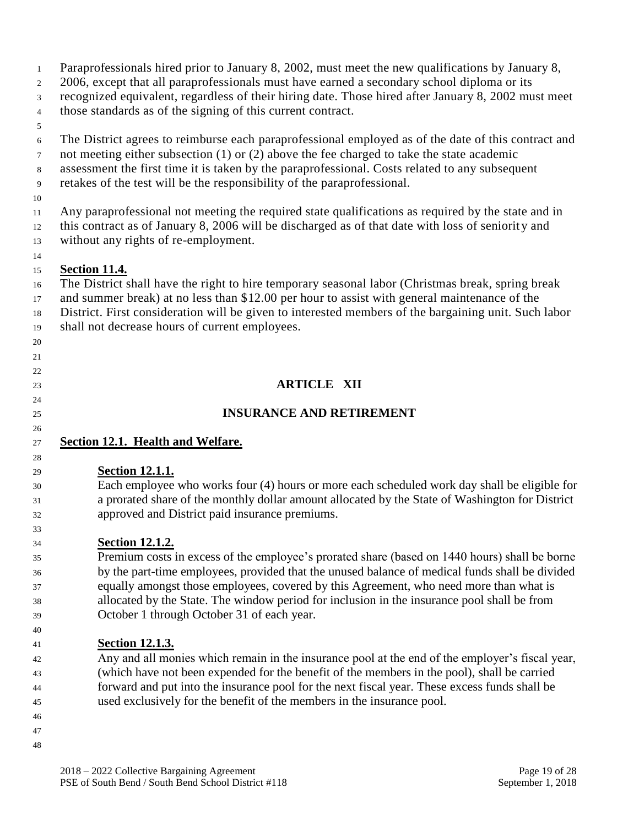- Paraprofessionals hired prior to January 8, 2002, must meet the new qualifications by January 8,
- 2 2006, except that all paraprofessionals must have earned a secondary school diploma or its
- recognized equivalent, regardless of their hiring date. Those hired after January 8, 2002 must meet
- those standards as of the signing of this current contract.
- 
- The District agrees to reimburse each paraprofessional employed as of the date of this contract and
- not meeting either subsection (1) or (2) above the fee charged to take the state academic
- assessment the first time it is taken by the paraprofessional. Costs related to any subsequent
- retakes of the test will be the responsibility of the paraprofessional.
- 

 Any paraprofessional not meeting the required state qualifications as required by the state and in this contract as of January 8, 2006 will be discharged as of that date with loss of seniorit y and without any rights of re-employment.

# **Section 11.4.**

 The District shall have the right to hire temporary seasonal labor (Christmas break, spring break and summer break) at no less than \$12.00 per hour to assist with general maintenance of the District. First consideration will be given to interested members of the bargaining unit. Such labor shall not decrease hours of current employees.

 

**ARTICLE XII**

# **INSURANCE AND RETIREMENT**

# **Section 12.1. Health and Welfare.**

#### **Section 12.1.1.**

 Each employee who works four (4) hours or more each scheduled work day shall be eligible for a prorated share of the monthly dollar amount allocated by the State of Washington for District approved and District paid insurance premiums.

#### **Section 12.1.2.**

 Premium costs in excess of the employee's prorated share (based on 1440 hours) shall be borne by the part-time employees, provided that the unused balance of medical funds shall be divided equally amongst those employees, covered by this Agreement, who need more than what is allocated by the State. The window period for inclusion in the insurance pool shall be from October 1 through October 31 of each year.

#### **Section 12.1.3.**

 Any and all monies which remain in the insurance pool at the end of the employer's fiscal year, (which have not been expended for the benefit of the members in the pool), shall be carried forward and put into the insurance pool for the next fiscal year. These excess funds shall be used exclusively for the benefit of the members in the insurance pool.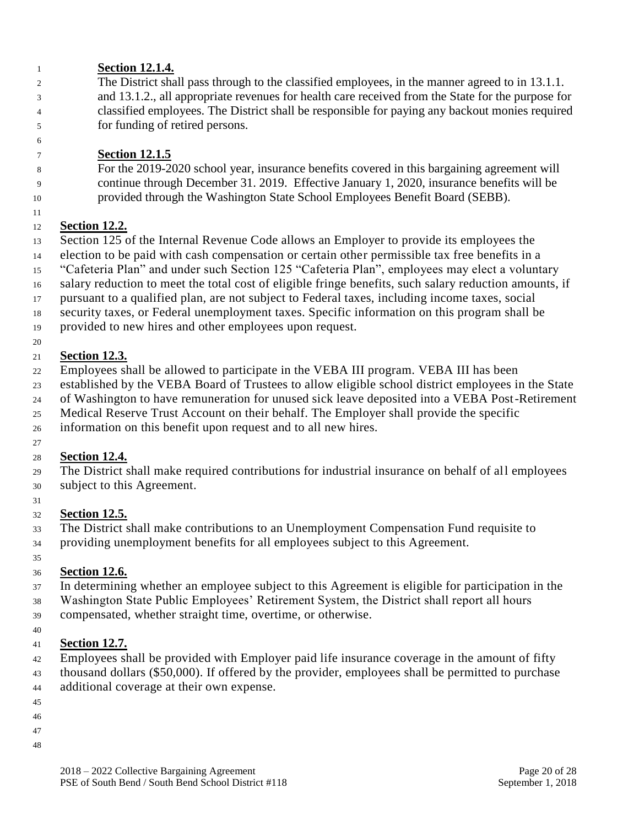#### **Section 12.1.4.**

 The District shall pass through to the classified employees, in the manner agreed to in 13.1.1. and 13.1.2., all appropriate revenues for health care received from the State for the purpose for classified employees. The District shall be responsible for paying any backout monies required for funding of retired persons.

# **Section 12.1.5**

 For the 2019-2020 school year, insurance benefits covered in this bargaining agreement will continue through December 31. 2019. Effective January 1, 2020, insurance benefits will be provided through the Washington State School Employees Benefit Board (SEBB).

# **Section 12.2.**

Section 125 of the Internal Revenue Code allows an Employer to provide its employees the

election to be paid with cash compensation or certain other permissible tax free benefits in a

"Cafeteria Plan" and under such Section 125 "Cafeteria Plan", employees may elect a voluntary

salary reduction to meet the total cost of eligible fringe benefits, such salary reduction amounts, if

pursuant to a qualified plan, are not subject to Federal taxes, including income taxes, social

security taxes, or Federal unemployment taxes. Specific information on this program shall be

provided to new hires and other employees upon request.

# **Section 12.3.**

Employees shall be allowed to participate in the VEBA III program. VEBA III has been

established by the VEBA Board of Trustees to allow eligible school district employees in the State

of Washington to have remuneration for unused sick leave deposited into a VEBA Post-Retirement

Medical Reserve Trust Account on their behalf. The Employer shall provide the specific

information on this benefit upon request and to all new hires.

# 

# **Section 12.4.**

 The District shall make required contributions for industrial insurance on behalf of all employees subject to this Agreement.

# **Section 12.5.**

 The District shall make contributions to an Unemployment Compensation Fund requisite to providing unemployment benefits for all employees subject to this Agreement.

# **Section 12.6.**

In determining whether an employee subject to this Agreement is eligible for participation in the

Washington State Public Employees' Retirement System, the District shall report all hours

compensated, whether straight time, overtime, or otherwise.

#### **Section 12.7.**

 Employees shall be provided with Employer paid life insurance coverage in the amount of fifty thousand dollars (\$50,000). If offered by the provider, employees shall be permitted to purchase additional coverage at their own expense.

- 
- 
- 
-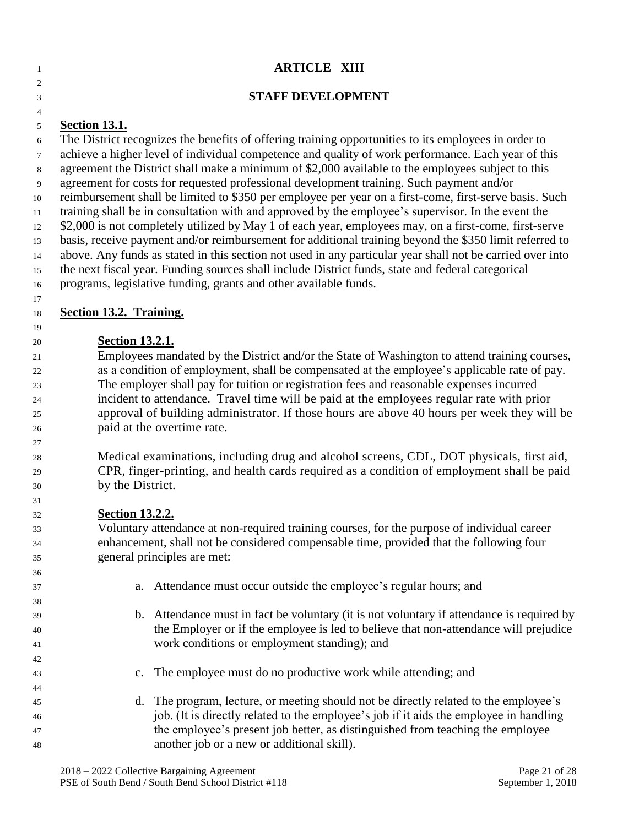| $\mathbf{1}$   | <b>ARTICLE XIII</b>                                                                                                          |
|----------------|------------------------------------------------------------------------------------------------------------------------------|
| $\overline{c}$ |                                                                                                                              |
| 3              | <b>STAFF DEVELOPMENT</b>                                                                                                     |
| $\overline{4}$ |                                                                                                                              |
| 5<br>6         | <b>Section 13.1.</b><br>The District recognizes the benefits of offering training opportunities to its employees in order to |
| 7              | achieve a higher level of individual competence and quality of work performance. Each year of this                           |
| 8              | agreement the District shall make a minimum of \$2,000 available to the employees subject to this                            |
| 9              | agreement for costs for requested professional development training. Such payment and/or                                     |
| 10             | reimbursement shall be limited to \$350 per employee per year on a first-come, first-serve basis. Such                       |
| 11             | training shall be in consultation with and approved by the employee's supervisor. In the event the                           |
| 12             | \$2,000 is not completely utilized by May 1 of each year, employees may, on a first-come, first-serve                        |
| 13             | basis, receive payment and/or reimbursement for additional training beyond the \$350 limit referred to                       |
| 14             | above. Any funds as stated in this section not used in any particular year shall not be carried over into                    |
| 15             | the next fiscal year. Funding sources shall include District funds, state and federal categorical                            |
| 16             | programs, legislative funding, grants and other available funds.                                                             |
| 17<br>18       | <b>Section 13.2. Training.</b>                                                                                               |
| 19             |                                                                                                                              |
| 20             | <b>Section 13.2.1.</b>                                                                                                       |
| 21             | Employees mandated by the District and/or the State of Washington to attend training courses,                                |
| 22             | as a condition of employment, shall be compensated at the employee's applicable rate of pay.                                 |
| 23             | The employer shall pay for tuition or registration fees and reasonable expenses incurred                                     |
| 24             | incident to attendance. Travel time will be paid at the employees regular rate with prior                                    |
| 25             | approval of building administrator. If those hours are above 40 hours per week they will be                                  |
| 26             | paid at the overtime rate.                                                                                                   |
| 27<br>28       | Medical examinations, including drug and alcohol screens, CDL, DOT physicals, first aid,                                     |
| 29             | CPR, finger-printing, and health cards required as a condition of employment shall be paid                                   |
| 30             | by the District.                                                                                                             |
| 31             |                                                                                                                              |
| 32             | <b>Section 13.2.2.</b>                                                                                                       |
| 33             | Voluntary attendance at non-required training courses, for the purpose of individual career                                  |
| 34             | enhancement, shall not be considered compensable time, provided that the following four                                      |
| 35             | general principles are met:                                                                                                  |
| 36             |                                                                                                                              |
| 37<br>38       | Attendance must occur outside the employee's regular hours; and<br>a.                                                        |
| 39             | b. Attendance must in fact be voluntary (it is not voluntary if attendance is required by                                    |
| 40             | the Employer or if the employee is led to believe that non-attendance will prejudice                                         |
| 41             | work conditions or employment standing); and                                                                                 |
| 42             |                                                                                                                              |
| 43             | The employee must do no productive work while attending; and<br>$\mathbf{c}$ .                                               |
| 44             |                                                                                                                              |
| 45             | The program, lecture, or meeting should not be directly related to the employee's<br>d.                                      |
| 46             | job. (It is directly related to the employee's job if it aids the employee in handling                                       |
| 47             | the employee's present job better, as distinguished from teaching the employee                                               |
| 48             | another job or a new or additional skill).                                                                                   |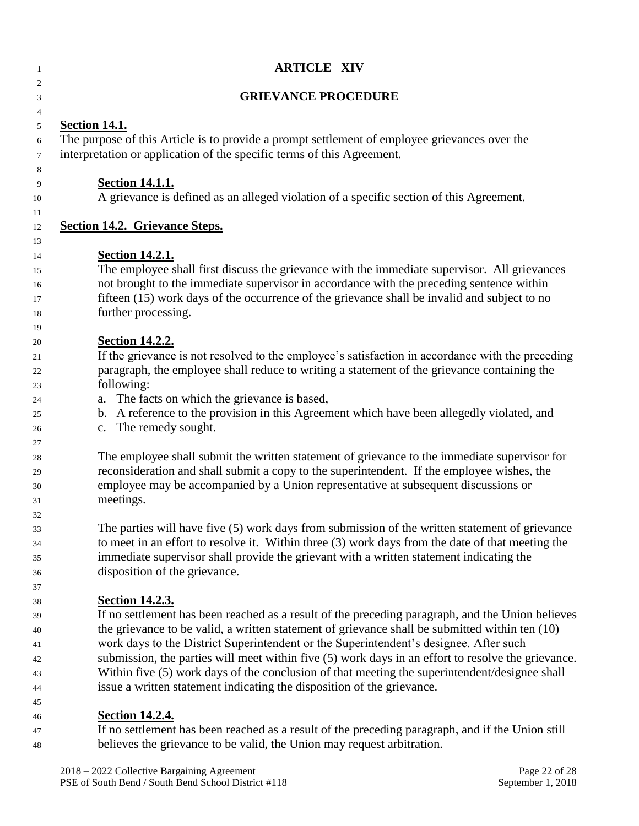| 1                          | <b>ARTICLE XIV</b>                                                                                                                                                                                                                                                                                                                        |
|----------------------------|-------------------------------------------------------------------------------------------------------------------------------------------------------------------------------------------------------------------------------------------------------------------------------------------------------------------------------------------|
| 2<br>3                     | <b>GRIEVANCE PROCEDURE</b>                                                                                                                                                                                                                                                                                                                |
| 4                          | <b>Section 14.1.</b>                                                                                                                                                                                                                                                                                                                      |
| 5<br>6<br>7                | The purpose of this Article is to provide a prompt settlement of employee grievances over the<br>interpretation or application of the specific terms of this Agreement.                                                                                                                                                                   |
| 8<br>9<br>10               | <b>Section 14.1.1.</b><br>A grievance is defined as an alleged violation of a specific section of this Agreement.                                                                                                                                                                                                                         |
| 11<br>12                   | <b>Section 14.2. Grievance Steps.</b>                                                                                                                                                                                                                                                                                                     |
| 13                         |                                                                                                                                                                                                                                                                                                                                           |
| 14<br>15<br>16<br>17<br>18 | <b>Section 14.2.1.</b><br>The employee shall first discuss the grievance with the immediate supervisor. All grievances<br>not brought to the immediate supervisor in accordance with the preceding sentence within<br>fifteen (15) work days of the occurrence of the grievance shall be invalid and subject to no<br>further processing. |
| 19<br>20                   | <b>Section 14.2.2.</b>                                                                                                                                                                                                                                                                                                                    |
| 21<br>22<br>23             | If the grievance is not resolved to the employee's satisfaction in accordance with the preceding<br>paragraph, the employee shall reduce to writing a statement of the grievance containing the<br>following:                                                                                                                             |
| 24<br>25<br>26             | a. The facts on which the grievance is based,<br>b. A reference to the provision in this Agreement which have been allegedly violated, and<br>c. The remedy sought.                                                                                                                                                                       |
| 27<br>28<br>29<br>30<br>31 | The employee shall submit the written statement of grievance to the immediate supervisor for<br>reconsideration and shall submit a copy to the superintendent. If the employee wishes, the<br>employee may be accompanied by a Union representative at subsequent discussions or<br>meetings.                                             |
| 32<br>33<br>34<br>35<br>36 | The parties will have five (5) work days from submission of the written statement of grievance<br>to meet in an effort to resolve it. Within three (3) work days from the date of that meeting the<br>immediate supervisor shall provide the grievant with a written statement indicating the<br>disposition of the grievance.            |
| 37<br>38<br>39             | <b>Section 14.2.3.</b><br>If no settlement has been reached as a result of the preceding paragraph, and the Union believes                                                                                                                                                                                                                |
| 40<br>41<br>42             | the grievance to be valid, a written statement of grievance shall be submitted within ten (10)<br>work days to the District Superintendent or the Superintendent's designee. After such<br>submission, the parties will meet within five (5) work days in an effort to resolve the grievance.                                             |
| 43<br>44<br>45             | Within five (5) work days of the conclusion of that meeting the superintendent/designee shall<br>issue a written statement indicating the disposition of the grievance.                                                                                                                                                                   |
| 46<br>47                   | <b>Section 14.2.4.</b><br>If no settlement has been reached as a result of the preceding paragraph, and if the Union still                                                                                                                                                                                                                |

 If no settlement has been reached as a result of the preceding paragraph, and if the Union still believes the grievance to be valid, the Union may request arbitration.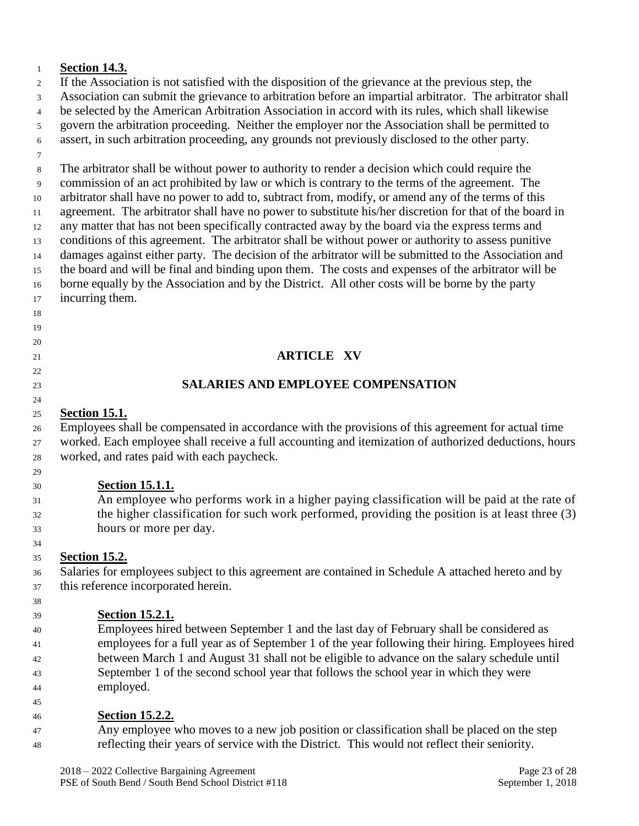#### **Section 14.3.**

 If the Association is not satisfied with the disposition of the grievance at the previous step, the Association can submit the grievance to arbitration before an impartial arbitrator. The arbitrator shall be selected by the American Arbitration Association in accord with its rules, which shall likewise govern the arbitration proceeding. Neither the employer nor the Association shall be permitted to assert, in such arbitration proceeding, any grounds not previously disclosed to the other party. 

 The arbitrator shall be without power to authority to render a decision which could require the commission of an act prohibited by law or which is contrary to the terms of the agreement. The arbitrator shall have no power to add to, subtract from, modify, or amend any of the terms of this agreement. The arbitrator shall have no power to substitute his/her discretion for that of the board in any matter that has not been specifically contracted away by the board via the express terms and conditions of this agreement. The arbitrator shall be without power or authority to assess punitive damages against either party. The decision of the arbitrator will be submitted to the Association and the board and will be final and binding upon them. The costs and expenses of the arbitrator will be borne equally by the Association and by the District. All other costs will be borne by the party incurring them.

#### **ARTICLE XV**

#### **SALARIES AND EMPLOYEE COMPENSATION**

#### **Section 15.1.**

 

 Employees shall be compensated in accordance with the provisions of this agreement for actual time worked. Each employee shall receive a full accounting and itemization of authorized deductions, hours worked, and rates paid with each paycheck.

#### **Section 15.1.1.**

 An employee who performs work in a higher paying classification will be paid at the rate of the higher classification for such work performed, providing the position is at least three (3) hours or more per day.

#### **Section 15.2.**

 Salaries for employees subject to this agreement are contained in Schedule A attached hereto and by this reference incorporated herein.

**Section 15.2.1.**

 Employees hired between September 1 and the last day of February shall be considered as employees for a full year as of September 1 of the year following their hiring. Employees hired between March 1 and August 31 shall not be eligible to advance on the salary schedule until September 1 of the second school year that follows the school year in which they were employed.

#### **Section 15.2.2.**

 Any employee who moves to a new job position or classification shall be placed on the step reflecting their years of service with the District. This would not reflect their seniority.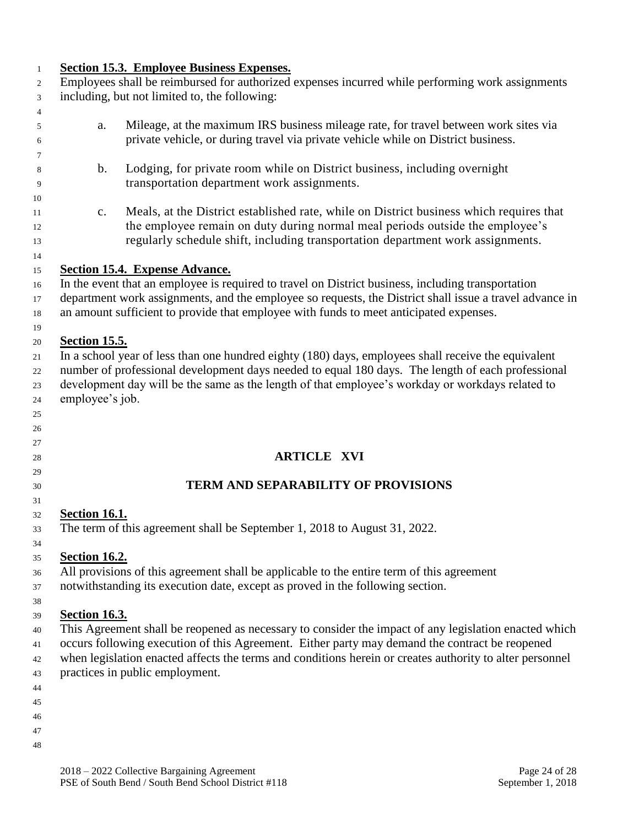| 1        | <b>Section 15.3. Employee Business Expenses.</b>                                                 |                                                                                                          |  |
|----------|--------------------------------------------------------------------------------------------------|----------------------------------------------------------------------------------------------------------|--|
| 2        | Employees shall be reimbursed for authorized expenses incurred while performing work assignments |                                                                                                          |  |
| 3        | including, but not limited to, the following:                                                    |                                                                                                          |  |
| 4        |                                                                                                  |                                                                                                          |  |
| 5        | a.                                                                                               | Mileage, at the maximum IRS business mileage rate, for travel between work sites via                     |  |
| 6        |                                                                                                  | private vehicle, or during travel via private vehicle while on District business.                        |  |
| 7        |                                                                                                  |                                                                                                          |  |
| 8        | $\mathbf b$ .                                                                                    | Lodging, for private room while on District business, including overnight                                |  |
| 9        |                                                                                                  | transportation department work assignments.                                                              |  |
| 10       |                                                                                                  |                                                                                                          |  |
| 11       | $\mathbf{c}$ .                                                                                   | Meals, at the District established rate, while on District business which requires that                  |  |
| 12       |                                                                                                  | the employee remain on duty during normal meal periods outside the employee's                            |  |
| 13       |                                                                                                  | regularly schedule shift, including transportation department work assignments.                          |  |
| 14       |                                                                                                  |                                                                                                          |  |
| 15       |                                                                                                  | Section 15.4. Expense Advance.                                                                           |  |
| 16       |                                                                                                  | In the event that an employee is required to travel on District business, including transportation       |  |
| 17       |                                                                                                  | department work assignments, and the employee so requests, the District shall issue a travel advance in  |  |
| 18       |                                                                                                  | an amount sufficient to provide that employee with funds to meet anticipated expenses.                   |  |
| 19       |                                                                                                  |                                                                                                          |  |
| 20       | <b>Section 15.5.</b>                                                                             |                                                                                                          |  |
| 21       |                                                                                                  | In a school year of less than one hundred eighty (180) days, employees shall receive the equivalent      |  |
| 22       |                                                                                                  | number of professional development days needed to equal 180 days. The length of each professional        |  |
|          |                                                                                                  | development day will be the same as the length of that employee's workday or workdays related to         |  |
| 23       | employee's job.                                                                                  |                                                                                                          |  |
| 24       |                                                                                                  |                                                                                                          |  |
| 25       |                                                                                                  |                                                                                                          |  |
| 26<br>27 |                                                                                                  |                                                                                                          |  |
| 28       |                                                                                                  | <b>ARTICLE XVI</b>                                                                                       |  |
| 29       |                                                                                                  |                                                                                                          |  |
| 30       |                                                                                                  | <b>TERM AND SEPARABILITY OF PROVISIONS</b>                                                               |  |
| 31       |                                                                                                  |                                                                                                          |  |
| 32       | <b>Section 16.1.</b>                                                                             |                                                                                                          |  |
|          |                                                                                                  | The term of this agreement shall be September 1, 2018 to August 31, 2022.                                |  |
| 33       |                                                                                                  |                                                                                                          |  |
| 34       | <b>Section 16.2.</b>                                                                             |                                                                                                          |  |
| 35       |                                                                                                  |                                                                                                          |  |
| 36       |                                                                                                  | All provisions of this agreement shall be applicable to the entire term of this agreement                |  |
| 37       |                                                                                                  | notwithstanding its execution date, except as proved in the following section.                           |  |
| 38       |                                                                                                  |                                                                                                          |  |
| 39       | <b>Section 16.3.</b>                                                                             |                                                                                                          |  |
| 40       |                                                                                                  | This Agreement shall be reopened as necessary to consider the impact of any legislation enacted which    |  |
| 41       |                                                                                                  | occurs following execution of this Agreement. Either party may demand the contract be reopened           |  |
| 42       |                                                                                                  | when legislation enacted affects the terms and conditions herein or creates authority to alter personnel |  |
| 43       |                                                                                                  | practices in public employment.                                                                          |  |
| 44       |                                                                                                  |                                                                                                          |  |
| 45       |                                                                                                  |                                                                                                          |  |
| 46       |                                                                                                  |                                                                                                          |  |
| 47       |                                                                                                  |                                                                                                          |  |
| 48       |                                                                                                  |                                                                                                          |  |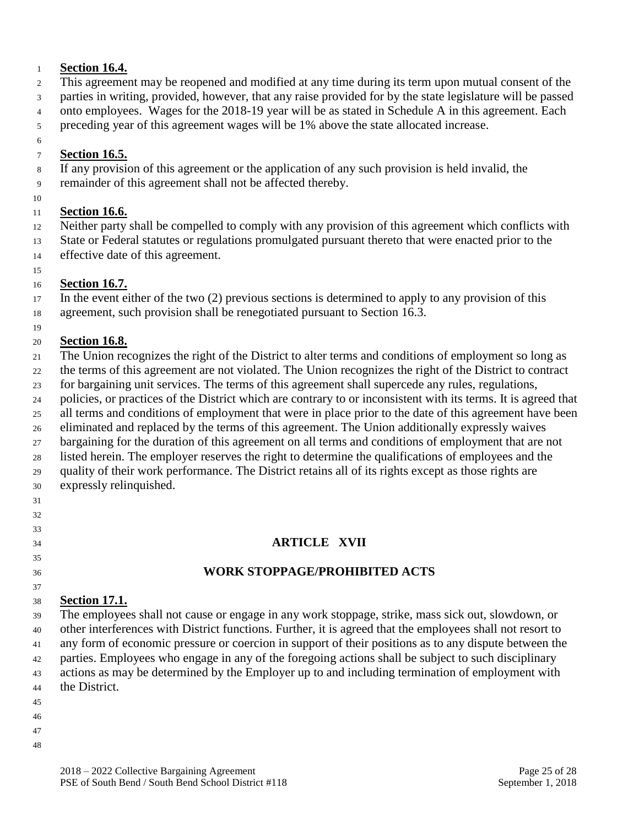#### **Section 16.4.**

This agreement may be reopened and modified at any time during its term upon mutual consent of the

parties in writing, provided, however, that any raise provided for by the state legislature will be passed

onto employees. Wages for the 2018-19 year will be as stated in Schedule A in this agreement. Each

preceding year of this agreement wages will be 1% above the state allocated increase.

# **Section 16.5.**

If any provision of this agreement or the application of any such provision is held invalid, the

remainder of this agreement shall not be affected thereby.

# **Section 16.6.**

 Neither party shall be compelled to comply with any provision of this agreement which conflicts with State or Federal statutes or regulations promulgated pursuant thereto that were enacted prior to the effective date of this agreement.

# **Section 16.7.**

 In the event either of the two (2) previous sections is determined to apply to any provision of this agreement, such provision shall be renegotiated pursuant to Section 16.3.

# **Section 16.8.**

 The Union recognizes the right of the District to alter terms and conditions of employment so long as the terms of this agreement are not violated. The Union recognizes the right of the District to contract

for bargaining unit services. The terms of this agreement shall supercede any rules, regulations,

policies, or practices of the District which are contrary to or inconsistent with its terms. It is agreed that

all terms and conditions of employment that were in place prior to the date of this agreement have been

eliminated and replaced by the terms of this agreement. The Union additionally expressly waives

bargaining for the duration of this agreement on all terms and conditions of employment that are not

 listed herein. The employer reserves the right to determine the qualifications of employees and the quality of their work performance. The District retains all of its rights except as those rights are

- expressly relinquished.
- 
- 
- 

# **ARTICLE XVII**

# **WORK STOPPAGE/PROHIBITED ACTS**

# **Section 17.1.**

 The employees shall not cause or engage in any work stoppage, strike, mass sick out, slowdown, or other interferences with District functions. Further, it is agreed that the employees shall not resort to any form of economic pressure or coercion in support of their positions as to any dispute between the parties. Employees who engage in any of the foregoing actions shall be subject to such disciplinary actions as may be determined by the Employer up to and including termination of employment with the District.

- 
- 
-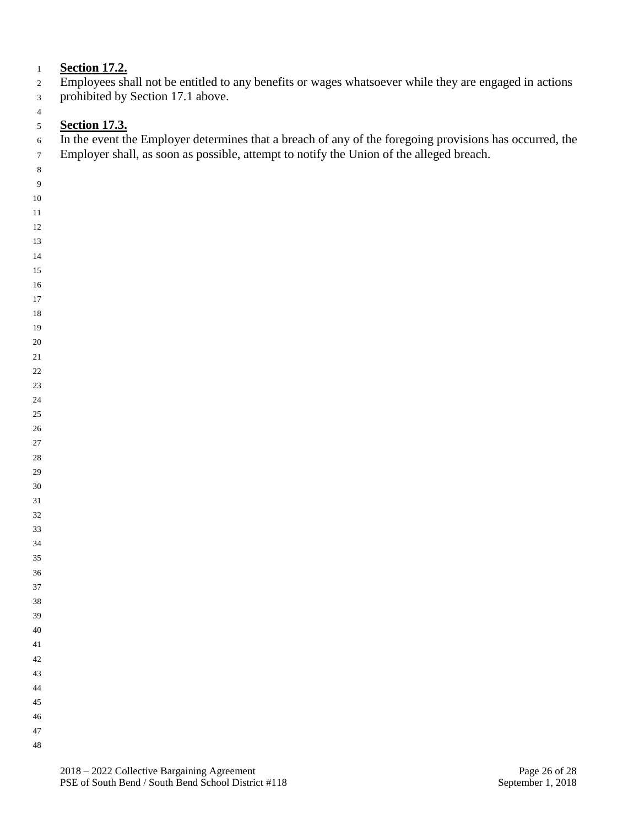# **Section 17.2.**

- Employees shall not be entitled to any benefits or wages whatsoever while they are engaged in actions prohibited by Section 17.1 above.
- 

# **Section 17.3.**

<sup>6</sup> In the event the Employer determines that a breach of any of the foregoing provisions has occurred, the Employer shall, as soon as possible, attempt to notify the Union of the alleged breach.

- 
- 
- 
- 
- 
- 
- 
- 
- 
- 
- 
- 
- 
- 
- 
- 
- 
- 
- 
- 
- 
- 
- 
- 
- 
- 
- 
- 
- 
- 
- 
- 
- 
-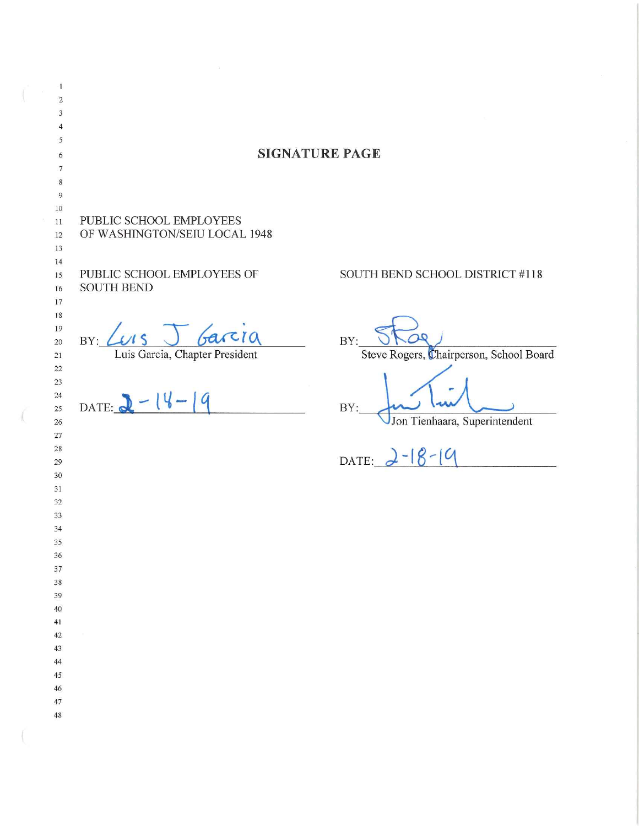| $\mathbf{1}$<br>$\sqrt{2}$<br>$\sqrt{3}$<br>$\overline{4}$<br>5 |                                                          |                                                |  |  |  |  |  |
|-----------------------------------------------------------------|----------------------------------------------------------|------------------------------------------------|--|--|--|--|--|
| 6                                                               | <b>SIGNATURE PAGE</b>                                    |                                                |  |  |  |  |  |
| $\overline{7}$<br>$\,$ 8 $\,$                                   |                                                          |                                                |  |  |  |  |  |
| 9<br>$10\,$<br>$\sim$                                           |                                                          |                                                |  |  |  |  |  |
| $11\,$<br>12<br>13                                              | PUBLIC SCHOOL EMPLOYEES<br>OF WASHINGTON/SEIU LOCAL 1948 |                                                |  |  |  |  |  |
| 14<br>15                                                        | PUBLIC SCHOOL EMPLOYEES OF                               | SOUTH BEND SCHOOL DISTRICT #118                |  |  |  |  |  |
| 16<br>17<br>$18\,$                                              | <b>SOUTH BEND</b>                                        |                                                |  |  |  |  |  |
| 19<br>$20\,$<br>$21\,$                                          | Garcia<br>BY:<br>Luis Garcia, Chapter President          | BY:<br>Steve Rogers, Chairperson, School Board |  |  |  |  |  |
| $22\,$<br>$23\,$                                                |                                                          |                                                |  |  |  |  |  |
| $\sqrt{24}$<br>25<br>$26\,$                                     | $-14-19$<br>DATE:                                        | BY:<br>Jon Tienhaara, Superintendent           |  |  |  |  |  |
| 27<br>28                                                        |                                                          |                                                |  |  |  |  |  |
| 29<br>$30\,$                                                    |                                                          | DATE: $2-18-19$                                |  |  |  |  |  |
| $31\,$<br>32                                                    |                                                          |                                                |  |  |  |  |  |
| 33<br>34                                                        |                                                          |                                                |  |  |  |  |  |
| 35<br>36                                                        |                                                          |                                                |  |  |  |  |  |
| $37\,$<br>38                                                    |                                                          |                                                |  |  |  |  |  |
| 39                                                              |                                                          |                                                |  |  |  |  |  |
| $40\,$<br>41                                                    |                                                          |                                                |  |  |  |  |  |
| $42\,$<br>43                                                    |                                                          |                                                |  |  |  |  |  |
| $\bf 44$                                                        |                                                          |                                                |  |  |  |  |  |
| $45\,$<br>$46\,$                                                |                                                          |                                                |  |  |  |  |  |
| $47\,$<br>$48\,$                                                |                                                          |                                                |  |  |  |  |  |
|                                                                 |                                                          |                                                |  |  |  |  |  |

 $\mathcal{L}$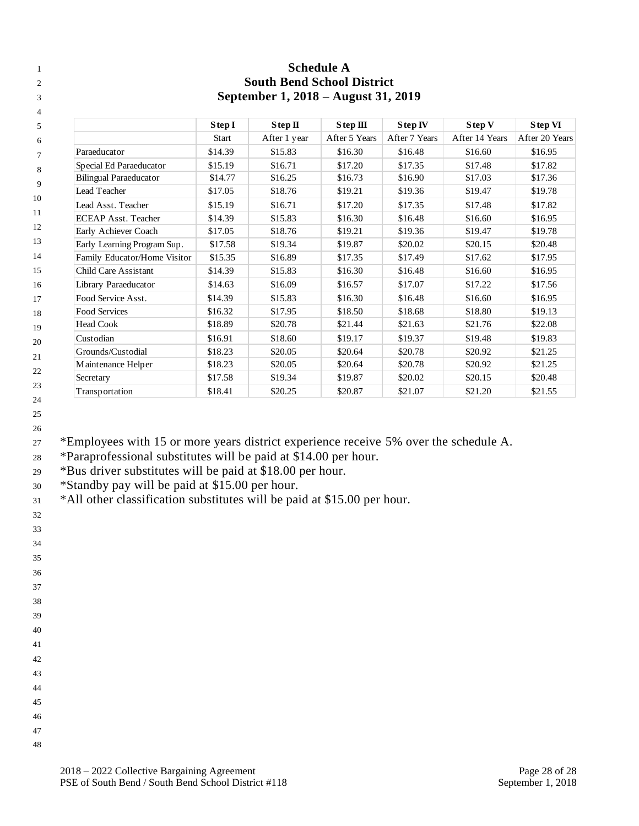| 1              |                               |                                                                          |              | <b>Schedule A</b> |               |                |                |  |  |  |  |
|----------------|-------------------------------|--------------------------------------------------------------------------|--------------|-------------------|---------------|----------------|----------------|--|--|--|--|
| $\overline{c}$ |                               | <b>South Bend School District</b><br>September 1, 2018 – August 31, 2019 |              |                   |               |                |                |  |  |  |  |
| 3              |                               |                                                                          |              |                   |               |                |                |  |  |  |  |
| 4              |                               |                                                                          |              |                   |               |                |                |  |  |  |  |
| 5              |                               | Step I                                                                   | Step II      | Step III          | Step IV       | Step V         | <b>Step VI</b> |  |  |  |  |
| 6              |                               | <b>Start</b>                                                             | After 1 year | After 5 Years     | After 7 Years | After 14 Years | After 20 Years |  |  |  |  |
| $\overline{7}$ | Paraeducator                  | \$14.39                                                                  | \$15.83      | \$16.30           | \$16.48       | \$16.60        | \$16.95        |  |  |  |  |
| 8              | Special Ed Paraeducator       | \$15.19                                                                  | \$16.71      | \$17.20           | \$17.35       | \$17.48        | \$17.82        |  |  |  |  |
| 9              | <b>Bilingual Paraeducator</b> | \$14.77                                                                  | \$16.25      | \$16.73           | \$16.90       | \$17.03        | \$17.36        |  |  |  |  |
| 10             | Lead Teacher                  | \$17.05                                                                  | \$18.76      | \$19.21           | \$19.36       | \$19.47        | \$19.78        |  |  |  |  |
|                | Lead Asst. Teacher            | \$15.19                                                                  | \$16.71      | \$17.20           | \$17.35       | \$17.48        | \$17.82        |  |  |  |  |
| 11             | <b>ECEAP Asst. Teacher</b>    | \$14.39                                                                  | \$15.83      | \$16.30           | \$16.48       | \$16.60        | \$16.95        |  |  |  |  |
| 12             | Early Achiever Coach          | \$17.05                                                                  | \$18.76      | \$19.21           | \$19.36       | \$19.47        | \$19.78        |  |  |  |  |
| 13             | Early Learning Program Sup.   | \$17.58                                                                  | \$19.34      | \$19.87           | \$20.02       | \$20.15        | \$20.48        |  |  |  |  |
| 14             | Family Educator/Home Visitor  | \$15.35                                                                  | \$16.89      | \$17.35           | \$17.49       | \$17.62        | \$17.95        |  |  |  |  |
| 15             | Child Care Assistant          | \$14.39                                                                  | \$15.83      | \$16.30           | \$16.48       | \$16.60        | \$16.95        |  |  |  |  |
| 16             | Library Paraeducator          | \$14.63                                                                  | \$16.09      | \$16.57           | \$17.07       | \$17.22        | \$17.56        |  |  |  |  |
| 17             | Food Service Asst.            | \$14.39                                                                  | \$15.83      | \$16.30           | \$16.48       | \$16.60        | \$16.95        |  |  |  |  |
| 18             | <b>Food Services</b>          | \$16.32                                                                  | \$17.95      | \$18.50           | \$18.68       | \$18.80        | \$19.13        |  |  |  |  |
| 19             | <b>Head Cook</b>              | \$18.89                                                                  | \$20.78      | \$21.44           | \$21.63       | \$21.76        | \$22.08        |  |  |  |  |
| 20             | Custodian                     | \$16.91                                                                  | \$18.60      | \$19.17           | \$19.37       | \$19.48        | \$19.83        |  |  |  |  |
| 21             | Grounds/Custodial             | \$18.23                                                                  | \$20.05      | \$20.64           | \$20.78       | \$20.92        | \$21.25        |  |  |  |  |
|                | Maintenance Helper            | \$18.23                                                                  | \$20.05      | \$20.64           | \$20.78       | \$20.92        | \$21.25        |  |  |  |  |
| 22             | Secretary                     | \$17.58                                                                  | \$19.34      | \$19.87           | \$20.02       | \$20.15        | \$20.48        |  |  |  |  |
| 23<br>24       | Transportation                | \$18.41                                                                  | \$20.25      | \$20.87           | \$21.07       | \$21.20        | \$21.55        |  |  |  |  |

 

\*Employees with 15 or more years district experience receive 5% over the schedule A.

\*Paraprofessional substitutes will be paid at \$14.00 per hour.

\*Bus driver substitutes will be paid at \$18.00 per hour.

\*Standby pay will be paid at \$15.00 per hour.

<sup>31</sup> \*All other classification substitutes will be paid at \$15.00 per hour.

 

- 
- 
- 
- 

- 
- 
- 
- 
-